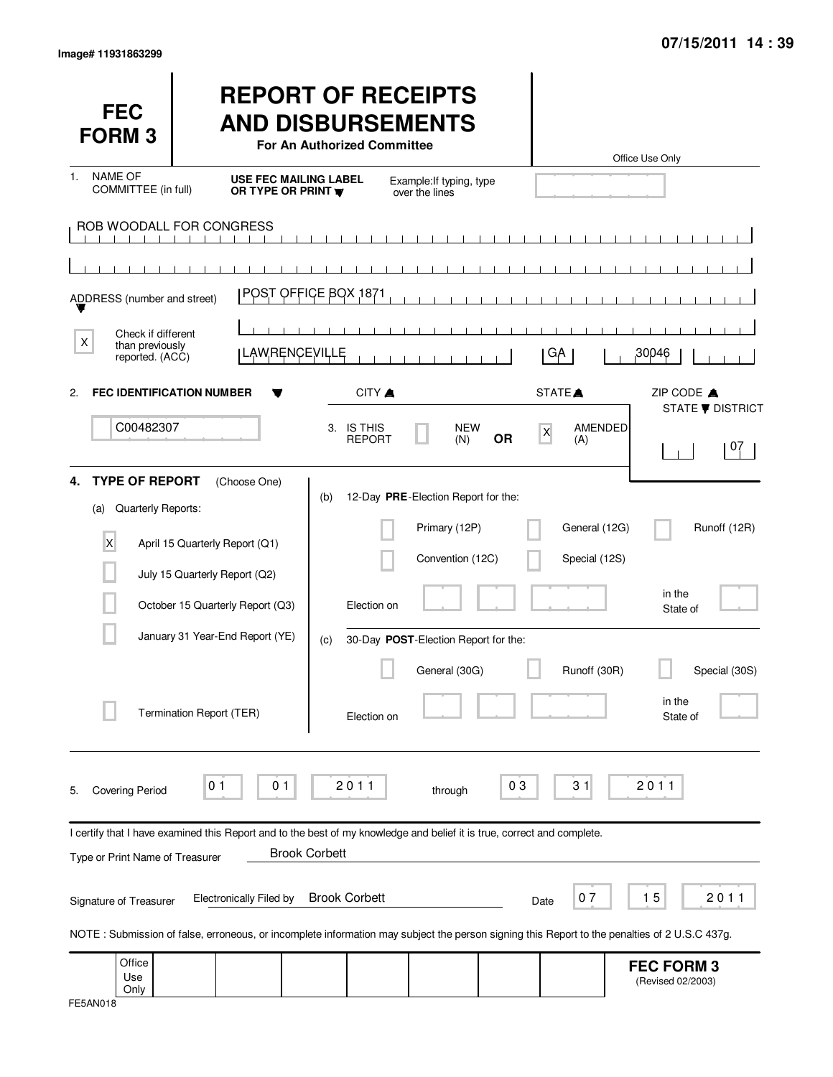| <b>FEC</b><br><b>FORM 3</b>                                                         |                                                                                                                                              | <b>REPORT OF RECEIPTS</b><br><b>AND DISBURSEMENTS</b><br>For An Authorized Committee |                                                                          |                |                                | Office Use Only                        |
|-------------------------------------------------------------------------------------|----------------------------------------------------------------------------------------------------------------------------------------------|--------------------------------------------------------------------------------------|--------------------------------------------------------------------------|----------------|--------------------------------|----------------------------------------|
| <b>NAME OF</b><br>1.<br>COMMITTEE (in full)                                         | USE FEC MAILING LABEL<br>OR TYPE OR PRINT                                                                                                    |                                                                                      | Example: If typing, type<br>over the lines                               |                |                                |                                        |
|                                                                                     | ROB WOODALL FOR CONGRESS                                                                                                                     |                                                                                      |                                                                          |                |                                |                                        |
| ADDRESS (number and street)                                                         |                                                                                                                                              | $\blacksquare$<br>$\mathbf{1}$<br>POST OFFICE BOX 1871                               | $\mathbf{1}$<br>$-1$ $-1$                                                |                |                                |                                        |
| Check if different<br>X<br>than previously<br>reported. (ACC)                       | <b>LAWRENCEVILLE</b>                                                                                                                         |                                                                                      |                                                                          |                | GA                             | 30046                                  |
| <b>FEC IDENTIFICATION NUMBER</b><br>2.                                              |                                                                                                                                              | <b>CITY</b> ▲                                                                        |                                                                          |                | STATE <sup>A</sup>             | ZIP CODE A<br><b>STATE ▼ DISTRICT</b>  |
| C00482307                                                                           |                                                                                                                                              | 3. IS THIS<br><b>REPORT</b>                                                          | <b>NEW</b><br>(N)                                                        | X<br><b>OR</b> | AMENDED<br>(A)                 | 07                                     |
| <b>TYPE OF REPORT</b><br>4.<br>Quarterly Reports:<br>(a)<br>$\overline{\mathsf{x}}$ | (Choose One)<br>April 15 Quarterly Report (Q1)                                                                                               | (b)                                                                                  | 12-Day PRE-Election Report for the:<br>Primary (12P)<br>Convention (12C) |                | General (12G)<br>Special (12S) | Runoff (12R)                           |
|                                                                                     | July 15 Quarterly Report (Q2)<br>October 15 Quarterly Report (Q3)                                                                            | Election on                                                                          |                                                                          |                |                                | in the<br>State of                     |
|                                                                                     | January 31 Year-End Report (YE)<br>Termination Report (TER)                                                                                  | (c)<br>Election on                                                                   | 30-Day POST-Election Report for the:<br>General (30G)                    |                | Runoff (30R)                   | Special (30S)<br>in the<br>State of    |
| <b>Covering Period</b><br>5.                                                        | 0 <sub>1</sub><br>01                                                                                                                         | 2011                                                                                 | through                                                                  | 03             | 31                             | 2011                                   |
| Type or Print Name of Treasurer                                                     | I certify that I have examined this Report and to the best of my knowledge and belief it is true, correct and complete.                      | <b>Brook Corbett</b>                                                                 |                                                                          |                |                                |                                        |
| Signature of Treasurer                                                              | <b>Electronically Filed by</b>                                                                                                               | <b>Brook Corbett</b>                                                                 |                                                                          | Date           | 07                             | 15<br>2011                             |
| Office<br>Use<br>Only                                                               | NOTE: Submission of false, erroneous, or incomplete information may subject the person signing this Report to the penalties of 2 U.S.C 437g. |                                                                                      |                                                                          |                |                                | <b>FEC FORM 3</b><br>(Revised 02/2003) |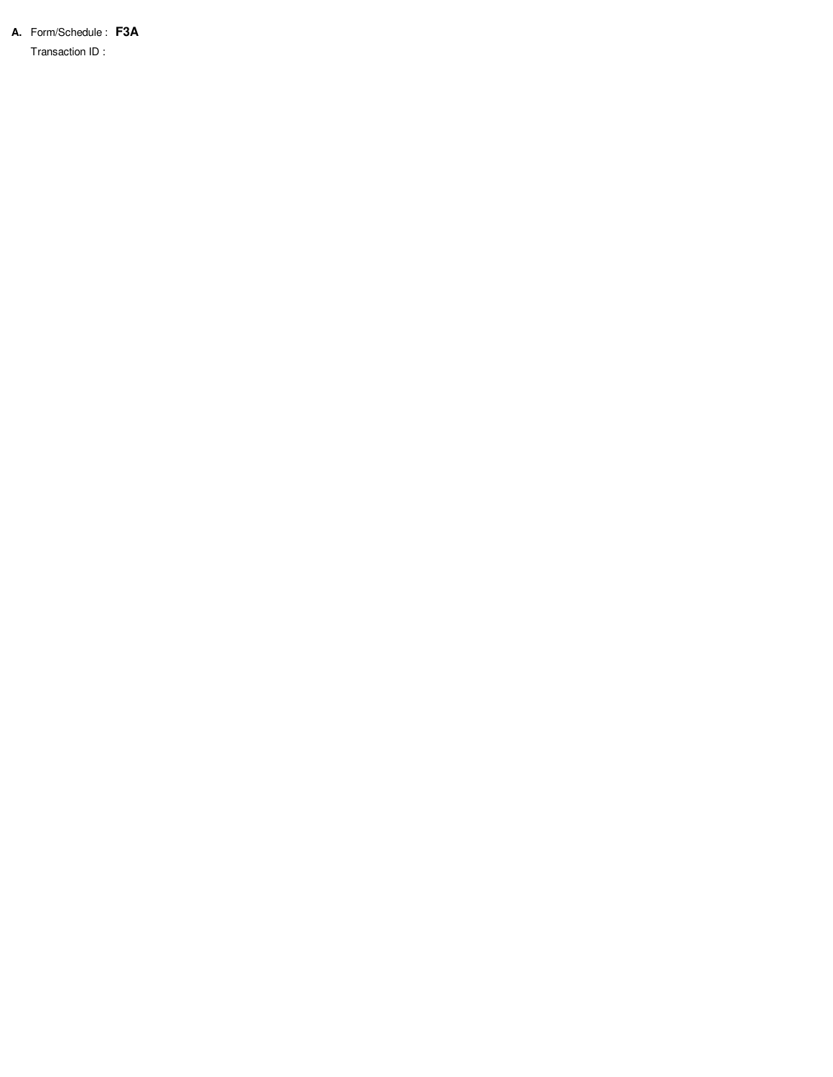**A.** Form/Schedule : **F3A**

Transaction ID :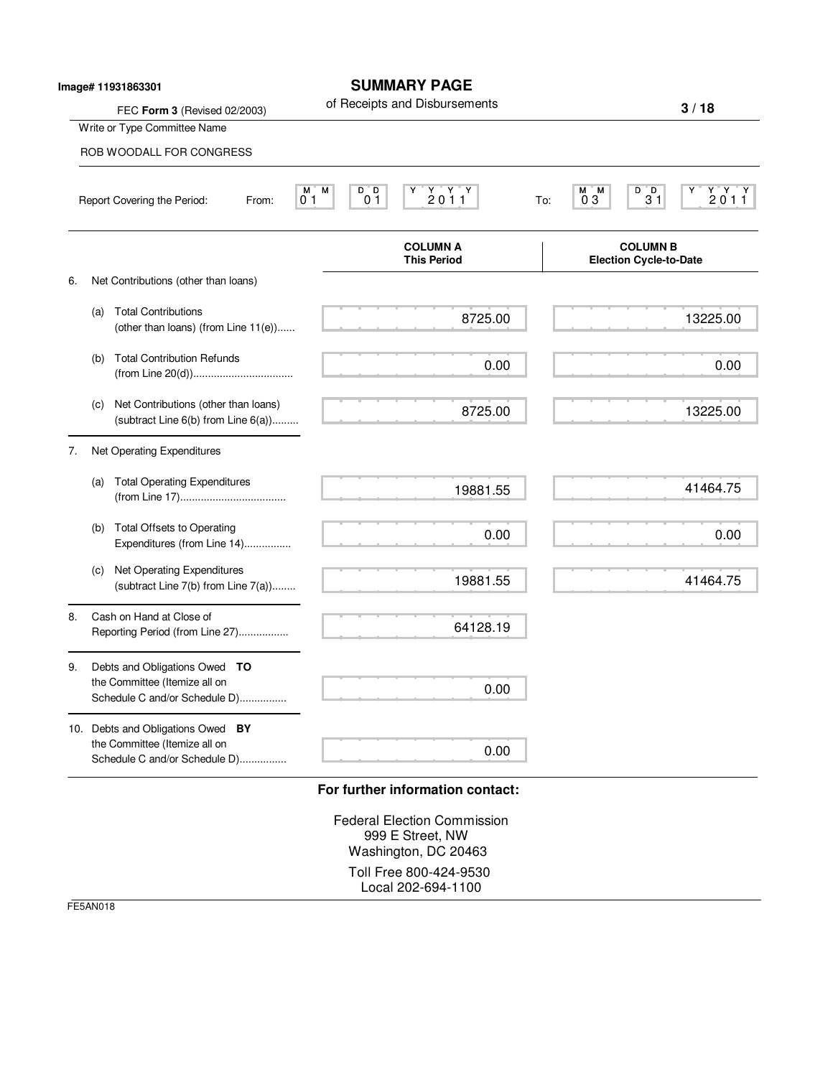|    |     | lmage# 11931863301                                                                                  | <b>SUMMARY PAGE</b>                                                                                                                                                                             |                                                                                  |
|----|-----|-----------------------------------------------------------------------------------------------------|-------------------------------------------------------------------------------------------------------------------------------------------------------------------------------------------------|----------------------------------------------------------------------------------|
|    |     | FEC Form 3 (Revised 02/2003)                                                                        | of Receipts and Disbursements                                                                                                                                                                   | 3/18                                                                             |
|    |     | Write or Type Committee Name                                                                        |                                                                                                                                                                                                 |                                                                                  |
|    |     | ROB WOODALL FOR CONGRESS                                                                            |                                                                                                                                                                                                 |                                                                                  |
|    |     | Report Covering the Period:<br>From:                                                                | М<br>D D<br>$\begin{array}{c} \mathsf{Y} \quad \mathsf{Y} \quad \mathsf{Y} \\ \mathsf{2} \; \mathsf{0} \; \mathsf{1} \; \mathsf{1} \end{array}$<br>М<br>0 <sub>1</sub><br>0 <sub>1</sub><br>To: | $\frac{Y}{2}$ $\frac{Y}{1}$ $\frac{Y}{1}$<br>$\frac{D^{\top}D}{31}$<br>M M<br>03 |
|    |     |                                                                                                     | <b>COLUMN A</b><br><b>This Period</b>                                                                                                                                                           | <b>COLUMN B</b><br><b>Election Cycle-to-Date</b>                                 |
| 6. |     | Net Contributions (other than loans)                                                                |                                                                                                                                                                                                 |                                                                                  |
|    | (a) | <b>Total Contributions</b><br>(other than loans) (from Line 11(e))                                  | 8725.00                                                                                                                                                                                         | 13225.00                                                                         |
|    | (b) | <b>Total Contribution Refunds</b>                                                                   | 0.00                                                                                                                                                                                            | 0.00                                                                             |
|    | (c) | Net Contributions (other than loans)<br>(subtract Line $6(b)$ from Line $6(a)$ )                    | 8725.00                                                                                                                                                                                         | 13225.00                                                                         |
| 7. |     | Net Operating Expenditures                                                                          |                                                                                                                                                                                                 |                                                                                  |
|    | (a) | <b>Total Operating Expenditures</b>                                                                 | 19881.55                                                                                                                                                                                        | 41464.75                                                                         |
|    | (b) | <b>Total Offsets to Operating</b><br>Expenditures (from Line 14)                                    | 0.00                                                                                                                                                                                            | 0.00                                                                             |
|    | (c) | Net Operating Expenditures<br>(subtract Line 7(b) from Line 7(a))                                   | 19881.55                                                                                                                                                                                        | 41464.75                                                                         |
| 8. |     | Cash on Hand at Close of<br>Reporting Period (from Line 27)                                         | 64128.19                                                                                                                                                                                        |                                                                                  |
| 9. |     | Debts and Obligations Owed TO<br>the Committee (Itemize all on<br>Schedule C and/or Schedule D)     | 0.00                                                                                                                                                                                            |                                                                                  |
|    |     | 10. Debts and Obligations Owed BY<br>the Committee (Itemize all on<br>Schedule C and/or Schedule D) | 0.00                                                                                                                                                                                            |                                                                                  |

Federal Election Commission 999 E Street, NW Washington, DC 20463 Toll Free 800-424-9530 Local 202-694-1100

FE5AN018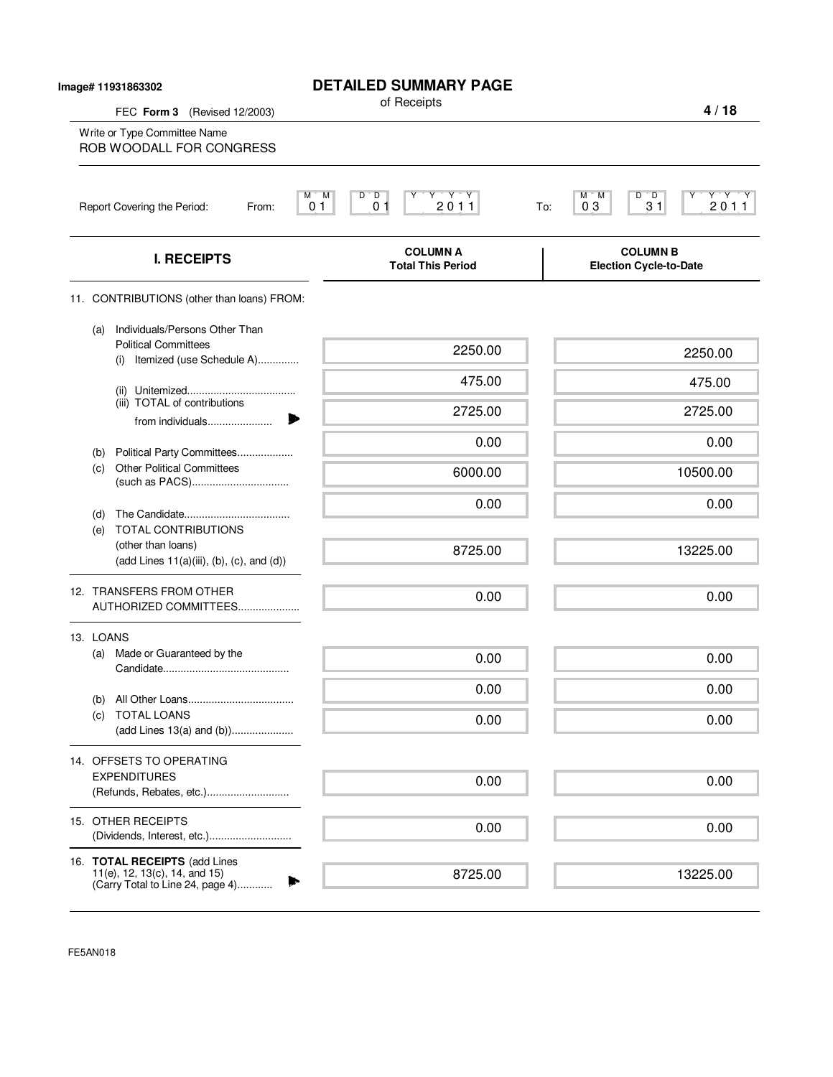| lmage# 11931863302<br>FEC Form 3 (Revised 12/2003) |                                                                                                          | <b>DETAILED SUMMARY PAGE</b><br>of Receipts                                              | 4/18                                                             |
|----------------------------------------------------|----------------------------------------------------------------------------------------------------------|------------------------------------------------------------------------------------------|------------------------------------------------------------------|
|                                                    | Write or Type Committee Name<br>ROB WOODALL FOR CONGRESS                                                 |                                                                                          |                                                                  |
|                                                    | Report Covering the Period:<br>From:                                                                     | $Y$ $Y$ $Y$<br>М<br>M<br>$\overline{D}$<br>D<br>2011<br>0 <sub>1</sub><br>0 <sub>1</sub> | Y'Y'Y<br>$D^{\bullet}$ $D$<br>M<br>'M<br>2011<br>03<br>31<br>To: |
|                                                    | <b>I. RECEIPTS</b>                                                                                       | <b>COLUMN A</b><br><b>Total This Period</b>                                              | <b>COLUMN B</b><br><b>Election Cycle-to-Date</b>                 |
|                                                    | 11. CONTRIBUTIONS (other than loans) FROM:                                                               |                                                                                          |                                                                  |
|                                                    | Individuals/Persons Other Than<br>(a)<br><b>Political Committees</b><br>Itemized (use Schedule A)<br>(i) | 2250.00                                                                                  | 2250.00                                                          |
|                                                    |                                                                                                          | 475.00                                                                                   | 475.00                                                           |
|                                                    | (iii) TOTAL of contributions<br>from individuals                                                         | 2725.00                                                                                  | 2725.00                                                          |
|                                                    |                                                                                                          | 0.00                                                                                     | 0.00                                                             |
|                                                    | Political Party Committees<br>(b)<br><b>Other Political Committees</b><br>(c)                            | 6000.00                                                                                  | 10500.00                                                         |
|                                                    | (d)                                                                                                      | 0.00                                                                                     | 0.00                                                             |
|                                                    | TOTAL CONTRIBUTIONS<br>(e)<br>(other than loans)<br>$(add Lines 11(a)(iii), (b), (c), and (d))$          | 8725.00                                                                                  | 13225.00                                                         |
|                                                    | 12. TRANSFERS FROM OTHER<br>AUTHORIZED COMMITTEES                                                        | 0.00                                                                                     | 0.00                                                             |
|                                                    | 13. LOANS                                                                                                |                                                                                          |                                                                  |
|                                                    | Made or Guaranteed by the<br>(a)                                                                         | 0.00                                                                                     | 0.00                                                             |
|                                                    |                                                                                                          | 0.00                                                                                     | 0.00                                                             |
|                                                    | (b)<br><b>TOTAL LOANS</b><br>(c)<br>(add Lines 13(a) and (b))                                            | 0.00                                                                                     | 0.00                                                             |
|                                                    | 14. OFFSETS TO OPERATING                                                                                 |                                                                                          |                                                                  |
|                                                    | <b>EXPENDITURES</b><br>(Refunds, Rebates, etc.)                                                          | 0.00                                                                                     | 0.00                                                             |
|                                                    | 15. OTHER RECEIPTS<br>(Dividends, Interest, etc.)                                                        | 0.00                                                                                     | 0.00                                                             |
|                                                    | 16. TOTAL RECEIPTS (add Lines                                                                            |                                                                                          |                                                                  |
|                                                    | 11(e), 12, 13(c), 14, and 15)<br>(Carry Total to Line 24, page 4)                                        | 8725.00                                                                                  | 13225.00                                                         |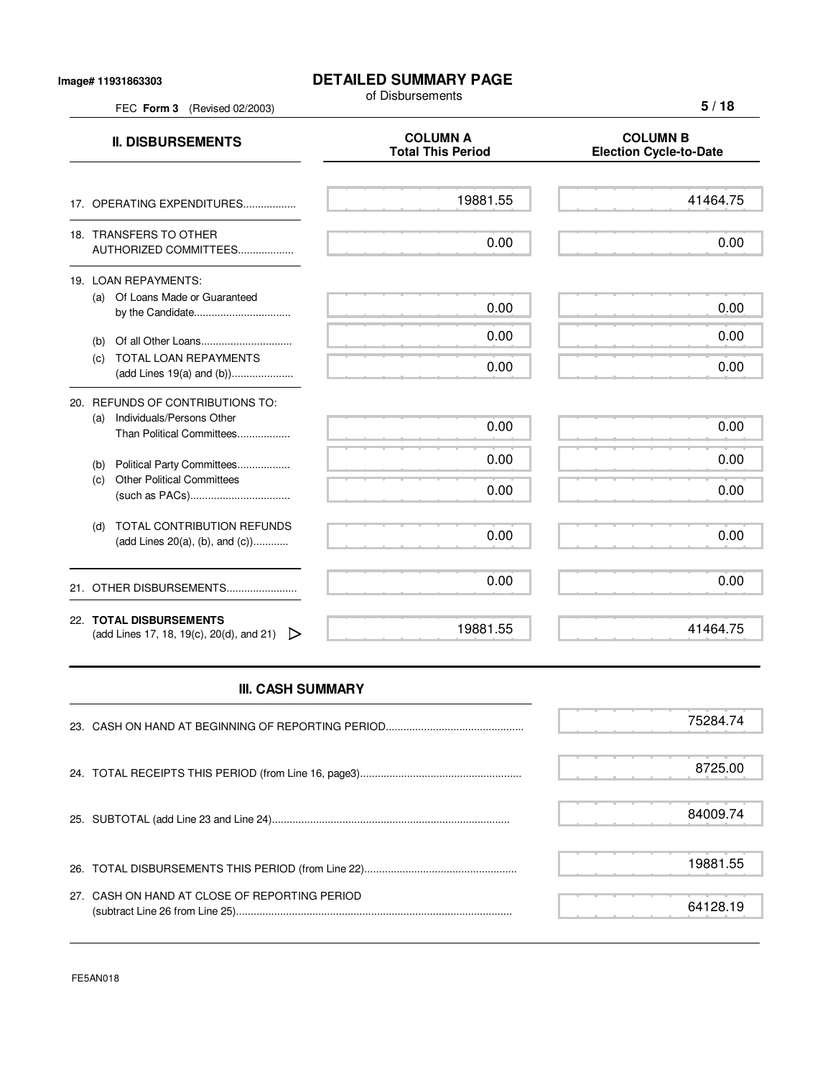## **DETAILED SUMMARY PAGE**

of Disbursements

FEC **Form 3** (Revised 02/2003)

**5 / 18**

| <b>II. DISBURSEMENTS</b>                                                       | <b>COLUMN A</b><br><b>Total This Period</b> | <b>COLUMN B</b><br><b>Election Cycle-to-Date</b> |
|--------------------------------------------------------------------------------|---------------------------------------------|--------------------------------------------------|
| 17. OPERATING EXPENDITURES                                                     | 19881.55                                    | 41464.75                                         |
| 18. TRANSFERS TO OTHER<br>AUTHORIZED COMMITTEES                                | 0.00                                        | 0.00                                             |
| 19. LOAN REPAYMENTS:<br>Of Loans Made or Guaranteed<br>(a)<br>by the Candidate | 0.00                                        | 0.00                                             |
| (b)                                                                            | 0.00                                        | 0.00                                             |
| TOTAL LOAN REPAYMENTS<br>(C)                                                   | 0.00                                        | 0.00                                             |
| 20. REFUNDS OF CONTRIBUTIONS TO:                                               |                                             |                                                  |
| Individuals/Persons Other<br>(a)<br>Than Political Committees                  | 0.00                                        | 0.00                                             |
| Political Party Committees<br>(b)                                              | 0.00                                        | 0.00                                             |
| <b>Other Political Committees</b><br>(c)                                       | 0.00                                        | 0.00                                             |
| <b>TOTAL CONTRIBUTION REFUNDS</b><br>(d)<br>(add Lines $20(a)$ , (b), and (c)) | 0.00                                        | 0.00                                             |
| 21. OTHER DISBURSEMENTS                                                        | 0.00                                        | 0.00                                             |
| 22. TOTAL DISBURSEMENTS<br>(add Lines 17, 18, 19(c), 20(d), and 21)            | 19881.55                                    | 41464.75                                         |

## **III. CASH SUMMARY**

|                                               | 75284.74 |
|-----------------------------------------------|----------|
|                                               | 8725.00  |
|                                               | 84009.74 |
|                                               | 19881.55 |
| 27. CASH ON HAND AT CLOSE OF REPORTING PERIOD | 64128.19 |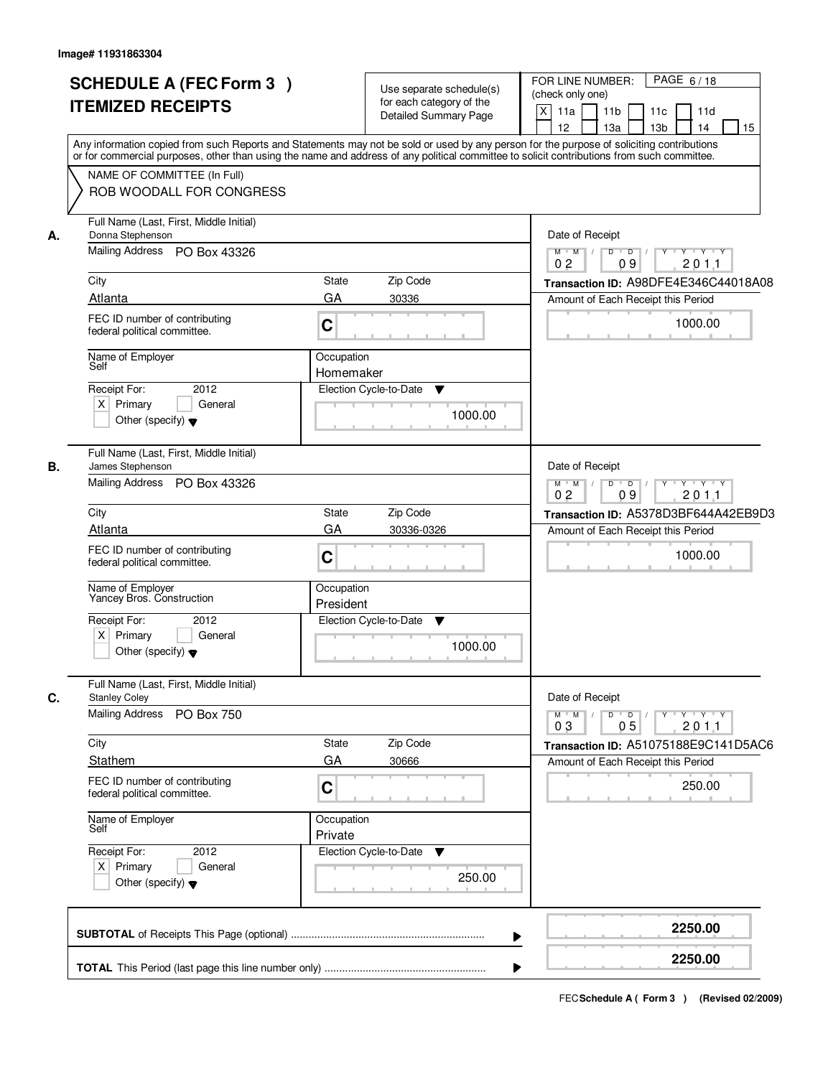|    | <b>SCHEDULE A (FEC Form 3)</b>                                  | Use separate schedule(s)                                                                                                                   | PAGE 6/18<br>FOR LINE NUMBER:<br>(check only one)                                                                                           |
|----|-----------------------------------------------------------------|--------------------------------------------------------------------------------------------------------------------------------------------|---------------------------------------------------------------------------------------------------------------------------------------------|
|    | <b>ITEMIZED RECEIPTS</b>                                        | for each category of the<br><b>Detailed Summary Page</b>                                                                                   | $\mathsf X$<br>11a<br>11 <sub>b</sub><br>11c<br>11d                                                                                         |
|    |                                                                 | Any information copied from such Reports and Statements may not be sold or used by any person for the purpose of soliciting contributions  | 12<br>13 <sub>b</sub><br>14<br>15<br>13a                                                                                                    |
|    | NAME OF COMMITTEE (In Full)                                     | or for commercial purposes, other than using the name and address of any political committee to solicit contributions from such committee. |                                                                                                                                             |
|    | ROB WOODALL FOR CONGRESS                                        |                                                                                                                                            |                                                                                                                                             |
| А. | Full Name (Last, First, Middle Initial)<br>Donna Stephenson     |                                                                                                                                            | Date of Receipt                                                                                                                             |
|    | Mailing Address PO Box 43326                                    |                                                                                                                                            | $\overline{D}$<br>Y 'Y 'Y<br>$M$ $M$ /<br>$\overline{D}$<br>201.1<br>09<br>0 <sub>2</sub>                                                   |
|    | City                                                            | <b>State</b><br>Zip Code                                                                                                                   | Transaction ID: A98DFE4E346C44018A08                                                                                                        |
|    | Atlanta                                                         | GA<br>30336                                                                                                                                | Amount of Each Receipt this Period                                                                                                          |
|    | FEC ID number of contributing<br>federal political committee.   | $\mathbf C$                                                                                                                                | 1000.00                                                                                                                                     |
|    | Name of Employer<br>Self                                        | Occupation<br>Homemaker                                                                                                                    |                                                                                                                                             |
|    | 2012<br>Receipt For:                                            | Election Cycle-to-Date<br>▼                                                                                                                |                                                                                                                                             |
|    | $X$ Primary<br>General                                          |                                                                                                                                            |                                                                                                                                             |
|    | Other (specify) $\blacktriangledown$                            | 1000.00                                                                                                                                    |                                                                                                                                             |
| В. | Full Name (Last, First, Middle Initial)<br>James Stephenson     |                                                                                                                                            | Date of Receipt                                                                                                                             |
|    | Mailing Address PO Box 43326                                    |                                                                                                                                            | $M$ $M$ $/$<br>$D$ $D$ $/$<br>Y FY FY FY<br>0 <sub>2</sub><br>09<br>201.1                                                                   |
|    | City                                                            | <b>State</b><br>Zip Code                                                                                                                   | Transaction ID: A5378D3BF644A42EB9D3                                                                                                        |
|    | Atlanta                                                         | GA<br>30336-0326                                                                                                                           | Amount of Each Receipt this Period                                                                                                          |
|    | FEC ID number of contributing<br>federal political committee.   | $\mathbf C$                                                                                                                                | 1000.00                                                                                                                                     |
|    | Name of Employer<br>Yancey Bros. Construction                   | Occupation<br>President                                                                                                                    |                                                                                                                                             |
|    | Receipt For:<br>2012                                            | Election Cycle-to-Date<br>▼                                                                                                                |                                                                                                                                             |
|    | $X$ Primary<br>General<br>Other (specify) $\blacktriangledown$  | 1000.00                                                                                                                                    |                                                                                                                                             |
| C. | Full Name (Last, First, Middle Initial)<br><b>Stanley Coley</b> |                                                                                                                                            | Date of Receipt                                                                                                                             |
|    | Mailing Address PO Box 750                                      |                                                                                                                                            | $M$ $M$<br>$D$ $D$<br>$\mathsf{Y} \dashv \mathsf{Y} \dashv \mathsf{Y}$<br>$Y$ <sup><math>\top</math></sup><br>0 <sub>3</sub><br>05<br>201.1 |
|    | City                                                            | Zip Code<br>State                                                                                                                          | Transaction ID: A51075188E9C141D5AC6                                                                                                        |
|    | Stathem                                                         | GA<br>30666                                                                                                                                | Amount of Each Receipt this Period                                                                                                          |
|    | FEC ID number of contributing<br>federal political committee.   | C                                                                                                                                          | 250.00                                                                                                                                      |
|    | Name of Employer<br>Self                                        | Occupation<br>Private                                                                                                                      |                                                                                                                                             |
|    | Receipt For:<br>2012                                            | Election Cycle-to-Date ▼                                                                                                                   |                                                                                                                                             |
|    | $X$ Primary<br>General                                          | 250.00                                                                                                                                     |                                                                                                                                             |
|    | Other (specify) $\blacktriangledown$                            |                                                                                                                                            |                                                                                                                                             |
|    |                                                                 |                                                                                                                                            | 2250.00<br>▶                                                                                                                                |
|    |                                                                 |                                                                                                                                            | 2250.00                                                                                                                                     |
|    |                                                                 |                                                                                                                                            | ▶                                                                                                                                           |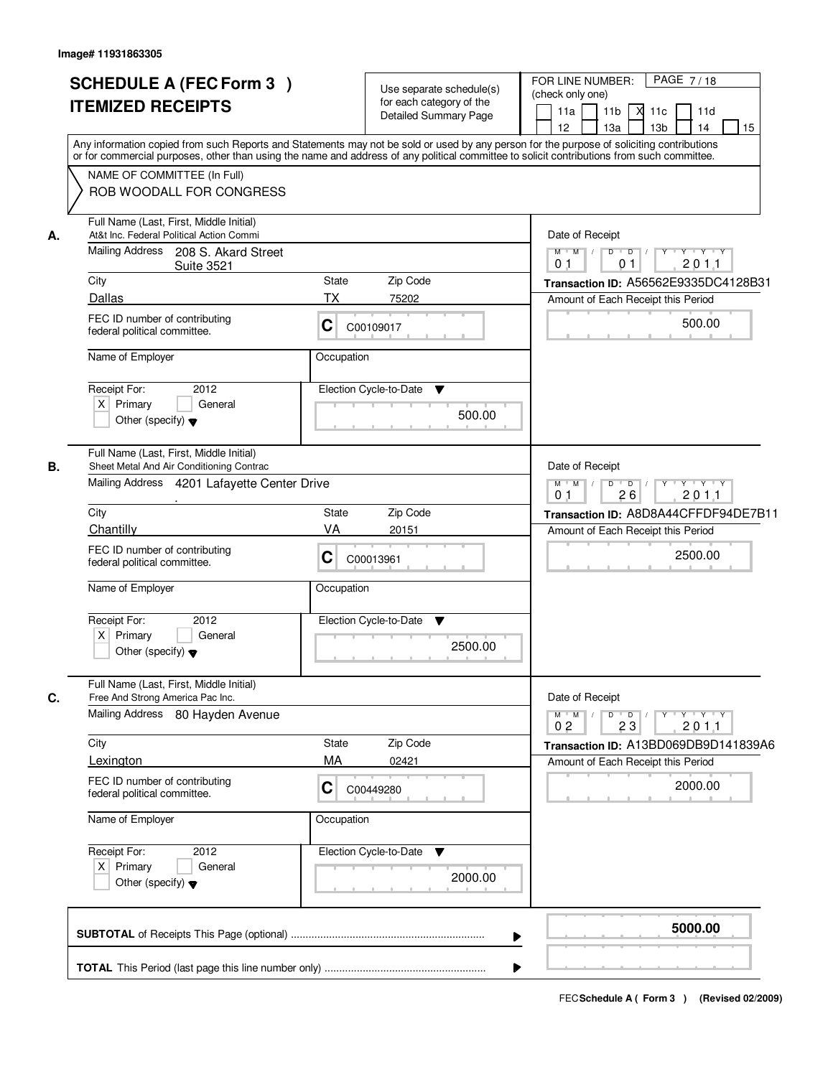|    | <b>SCHEDULE A (FEC Form 3)</b><br><b>ITEMIZED RECEIPTS</b><br>Any information copied from such Reports and Statements may not be sold or used by any person for the purpose of soliciting contributions | Use separate schedule(s)<br>for each category of the<br><b>Detailed Summary Page</b> | PAGE 7/18<br>FOR LINE NUMBER:<br>(check only one)<br>М<br>11a<br>11 <sub>b</sub><br>11c<br>11d<br>12<br>13 <sub>b</sub><br>14<br>15<br>13а |
|----|---------------------------------------------------------------------------------------------------------------------------------------------------------------------------------------------------------|--------------------------------------------------------------------------------------|--------------------------------------------------------------------------------------------------------------------------------------------|
|    | or for commercial purposes, other than using the name and address of any political committee to solicit contributions from such committee.<br>NAME OF COMMITTEE (In Full)<br>ROB WOODALL FOR CONGRESS   |                                                                                      |                                                                                                                                            |
| А. | Full Name (Last, First, Middle Initial)<br>At&t Inc. Federal Political Action Commi<br>Mailing Address 208 S. Akard Street                                                                              |                                                                                      | Date of Receipt<br>$\mathsf{Y} \dashv \mathsf{Y} \dashv \mathsf{Y} \dashv \mathsf{Y}$<br>$M$ $M$ $I$<br>$D$ $D$ $/$                        |
|    | <b>Suite 3521</b><br>City<br>Dallas                                                                                                                                                                     | State<br>Zip Code<br><b>TX</b><br>75202                                              | 0 <sub>1</sub><br>01<br>201.1<br>Transaction ID: A56562E9335DC4128B31<br>Amount of Each Receipt this Period                                |
|    | FEC ID number of contributing<br>federal political committee.                                                                                                                                           | C<br>C00109017                                                                       | 500.00                                                                                                                                     |
|    | Name of Employer                                                                                                                                                                                        | Occupation                                                                           |                                                                                                                                            |
|    | 2012<br>Receipt For:<br>$X$ Primary<br>General<br>Other (specify) $\blacktriangledown$                                                                                                                  | Election Cycle-to-Date<br>v<br>500.00                                                |                                                                                                                                            |
| В. | Full Name (Last, First, Middle Initial)<br>Sheet Metal And Air Conditioning Contrac<br>Mailing Address 4201 Lafayette Center Drive                                                                      |                                                                                      | Date of Receipt<br>$M$ $M$ $/$<br>D<br>⊏γ⊐гγ⊐гγ<br>$\overline{D}$<br>Y<br>26<br>201.1<br>0 <sub>1</sub>                                    |
|    | City                                                                                                                                                                                                    | State<br>Zip Code                                                                    | Transaction ID: A8D8A44CFFDF94DE7B11                                                                                                       |
|    | Chantilly<br>FEC ID number of contributing<br>federal political committee.                                                                                                                              | VA<br>20151<br>C<br>C00013961                                                        | Amount of Each Receipt this Period<br>2500.00                                                                                              |
|    | Name of Employer                                                                                                                                                                                        | Occupation                                                                           |                                                                                                                                            |
|    | Receipt For:<br>2012<br>$X$ Primary<br>General<br>Other (specify) $\blacktriangledown$                                                                                                                  | Election Cycle-to-Date<br><b>V</b><br>2500.00                                        |                                                                                                                                            |
| C. | Full Name (Last, First, Middle Initial)<br>Free And Strong America Pac Inc.<br>Mailing Address 80 Hayden Avenue                                                                                         |                                                                                      | Date of Receipt<br>$M$ $M$ $/$<br>$\mathsf D$<br>y y y y y y<br>$\overline{D}$ /<br>0 <sub>2</sub><br>23<br>201.1                          |
|    | City                                                                                                                                                                                                    | Zip Code<br>State<br>MA                                                              | Transaction ID: A13BD069DB9D141839A6                                                                                                       |
|    | Lexington<br>FEC ID number of contributing<br>federal political committee.                                                                                                                              | 02421<br>C<br>C00449280                                                              | Amount of Each Receipt this Period<br>2000.00                                                                                              |
|    | Name of Employer                                                                                                                                                                                        | Occupation                                                                           |                                                                                                                                            |
|    | Receipt For:<br>2012<br>$X$ Primary<br>General<br>Other (specify) $\blacktriangledown$                                                                                                                  | Election Cycle-to-Date ▼<br>2000.00                                                  |                                                                                                                                            |
|    |                                                                                                                                                                                                         |                                                                                      | 5000.00                                                                                                                                    |
|    |                                                                                                                                                                                                         | ▶                                                                                    |                                                                                                                                            |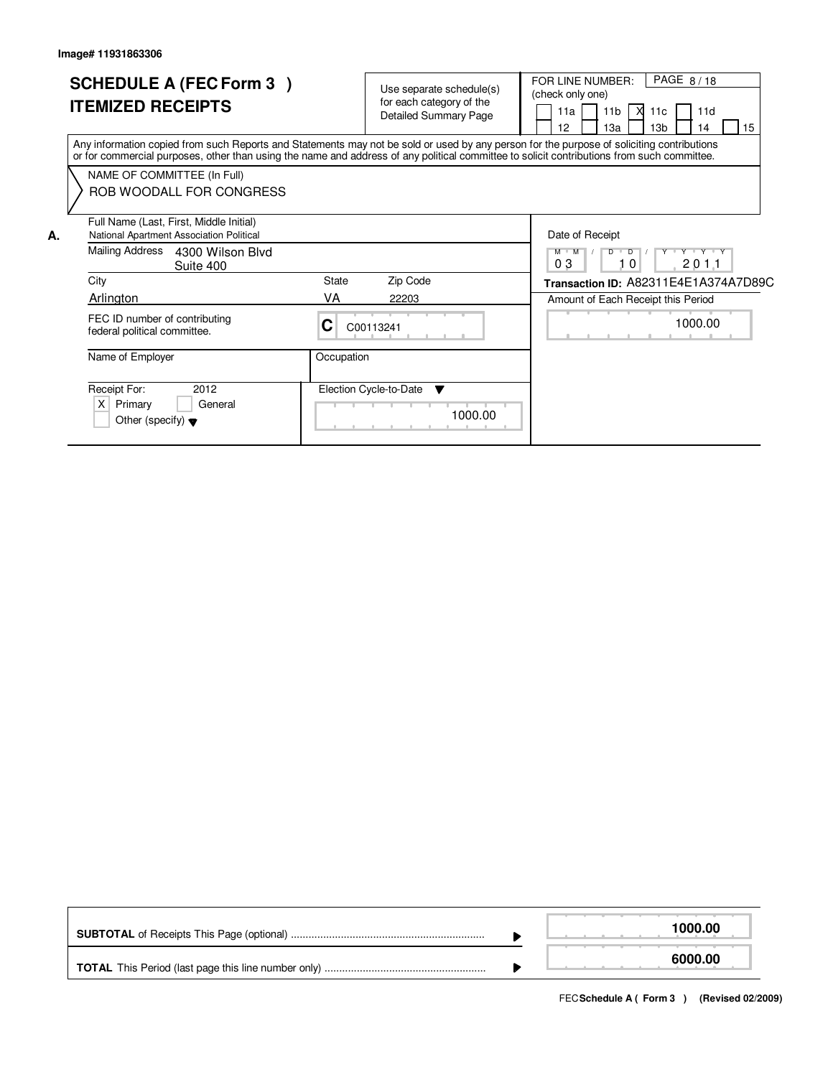|    | <b>SCHEDULE A (FEC Form 3)</b><br><b>ITEMIZED RECEIPTS</b>                                                                                                                                                                                                                              |            | Use separate schedule(s)<br>for each category of the<br><b>Detailed Summary Page</b> | PAGE 8/18<br>FOR LINE NUMBER:<br>(check only one)<br>11b   $\overline{X}$ 11c<br>11a<br>11d<br>12<br>15<br>13 <sub>b</sub><br>13a<br>4 |
|----|-----------------------------------------------------------------------------------------------------------------------------------------------------------------------------------------------------------------------------------------------------------------------------------------|------------|--------------------------------------------------------------------------------------|----------------------------------------------------------------------------------------------------------------------------------------|
|    | Any information copied from such Reports and Statements may not be sold or used by any person for the purpose of soliciting contributions<br>or for commercial purposes, other than using the name and address of any political committee to solicit contributions from such committee. |            |                                                                                      |                                                                                                                                        |
|    | NAME OF COMMITTEE (In Full)<br>ROB WOODALL FOR CONGRESS                                                                                                                                                                                                                                 |            |                                                                                      |                                                                                                                                        |
| А. | Full Name (Last, First, Middle Initial)<br>National Apartment Association Political                                                                                                                                                                                                     |            |                                                                                      | Date of Receipt                                                                                                                        |
|    | Mailing Address<br>4300 Wilson Blyd<br>Suite 400                                                                                                                                                                                                                                        |            |                                                                                      | Y Y Y Y Y<br>$D$ $D$<br>$M$ $M$<br>03<br>201.1<br>10                                                                                   |
|    | City                                                                                                                                                                                                                                                                                    | State      | Zip Code                                                                             | Transaction ID: A82311E4E1A374A7D89C                                                                                                   |
|    | Arlington                                                                                                                                                                                                                                                                               | VA         | 22203                                                                                | Amount of Each Receipt this Period                                                                                                     |
|    | FEC ID number of contributing<br>federal political committee.                                                                                                                                                                                                                           | C          | C00113241                                                                            | 1000.00                                                                                                                                |
|    | Name of Employer                                                                                                                                                                                                                                                                        | Occupation |                                                                                      |                                                                                                                                        |
|    | Receipt For:<br>2012<br>X<br>Primary<br>General<br>Other (specify) $\blacktriangledown$                                                                                                                                                                                                 |            | Election Cycle-to-Date<br>v<br>1000.00                                               |                                                                                                                                        |

|  | 1000.00 |
|--|---------|
|  | 6000.00 |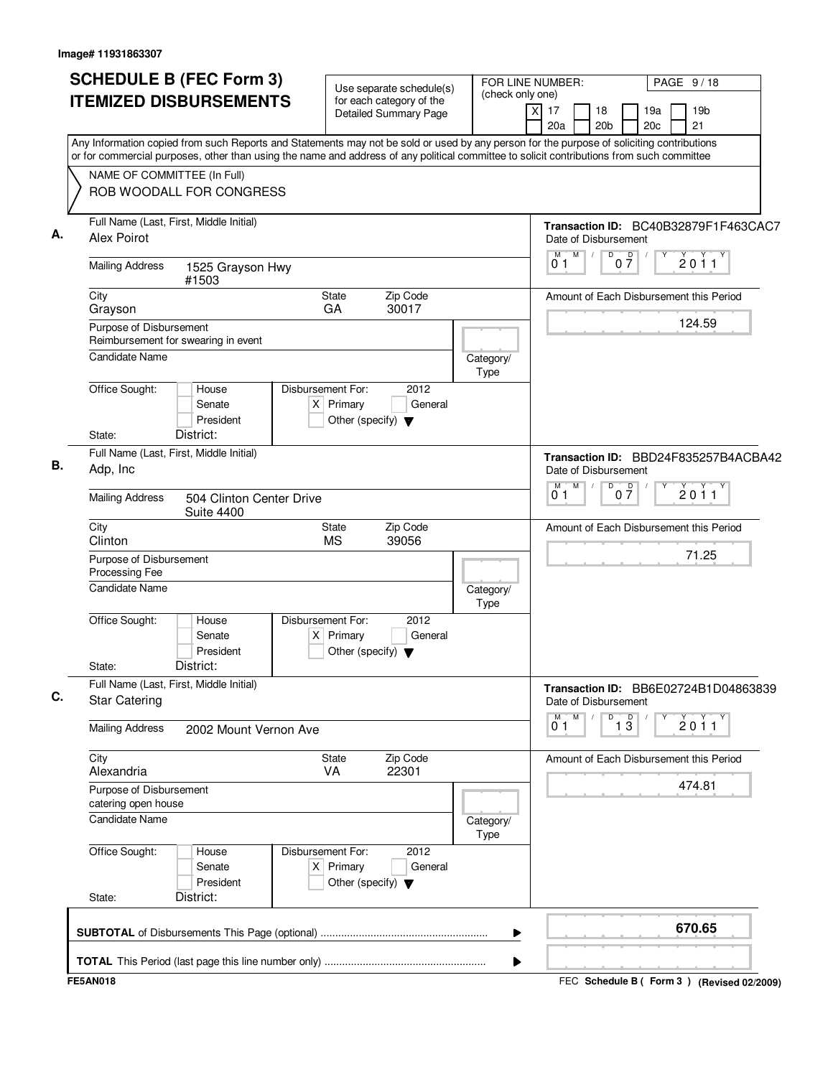| <b>SCHEDULE B (FEC Form 3)</b><br><b>ITEMIZED DISBURSEMENTS</b><br>Any Information copied from such Reports and Statements may not be sold or used by any person for the purpose of soliciting contributions | Use separate schedule(s)<br>for each category of the<br><b>Detailed Summary Page</b>        | (check only one)  | FOR LINE NUMBER:<br>PAGE 9/18<br>19 <sub>b</sub><br>X<br>17<br>18<br>19a<br>20 <sub>b</sub><br>20c<br>21<br>20a |
|--------------------------------------------------------------------------------------------------------------------------------------------------------------------------------------------------------------|---------------------------------------------------------------------------------------------|-------------------|-----------------------------------------------------------------------------------------------------------------|
| or for commercial purposes, other than using the name and address of any political committee to solicit contributions from such committee<br>NAME OF COMMITTEE (In Full)<br>ROB WOODALL FOR CONGRESS         |                                                                                             |                   |                                                                                                                 |
| Full Name (Last, First, Middle Initial)<br>Alex Poirot                                                                                                                                                       |                                                                                             |                   | Transaction ID: BC40B32879F1F463CAC7<br>Date of Disbursement                                                    |
| <b>Mailing Address</b><br>1525 Grayson Hwy<br>#1503                                                                                                                                                          |                                                                                             |                   | M<br>D<br>M<br>$\sqrt{ }$<br>$0\frac{D}{7}$<br>2011<br>0 <sub>1</sub>                                           |
| City<br>Grayson                                                                                                                                                                                              | <b>State</b><br>Zip Code<br>GA<br>30017                                                     |                   | Amount of Each Disbursement this Period                                                                         |
| Purpose of Disbursement<br>Reimbursement for swearing in event<br><b>Candidate Name</b>                                                                                                                      |                                                                                             | Category/         | 124.59                                                                                                          |
| Office Sought:<br>House<br>Senate<br>President<br>District:<br>State:                                                                                                                                        | 2012<br>Disbursement For:<br>$X$ Primary<br>General<br>Other (specify) $\blacktriangledown$ | Type              |                                                                                                                 |
| Full Name (Last, First, Middle Initial)<br>Adp, Inc                                                                                                                                                          |                                                                                             |                   | Transaction ID: BBD24F835257B4ACBA42<br>Date of Disbursement                                                    |
| <b>Mailing Address</b><br>504 Clinton Center Drive<br><b>Suite 4400</b>                                                                                                                                      |                                                                                             |                   | M<br>D<br>0 <sup>0</sup><br>М<br>2011<br>0 <sub>1</sub>                                                         |
| City<br>Clinton                                                                                                                                                                                              | Zip Code<br><b>State</b><br><b>MS</b><br>39056                                              |                   | Amount of Each Disbursement this Period                                                                         |
| Purpose of Disbursement<br>Processing Fee<br><b>Candidate Name</b>                                                                                                                                           |                                                                                             | Category/         | 71.25                                                                                                           |
| Office Sought:<br>House<br>Senate<br>President<br>District:<br>State:                                                                                                                                        | Disbursement For:<br>2012<br>$X$ Primary<br>General<br>Other (specify) $\blacktriangledown$ | Type              |                                                                                                                 |
| Full Name (Last, First, Middle Initial)<br><b>Star Catering</b>                                                                                                                                              |                                                                                             |                   | Transaction ID: BB6E02724B1D04863839<br>Date of Disbursement                                                    |
| <b>Mailing Address</b><br>2002 Mount Vernon Ave                                                                                                                                                              |                                                                                             |                   | M<br>D<br>$\overline{1\,3}$<br>м<br>$\sqrt{ }$<br>2011<br>01                                                    |
| City<br>Alexandria                                                                                                                                                                                           | Zip Code<br><b>State</b><br>22301<br>VA                                                     |                   | Amount of Each Disbursement this Period                                                                         |
| Purpose of Disbursement<br>catering open house<br>Candidate Name                                                                                                                                             |                                                                                             |                   | 474.81                                                                                                          |
| Office Sought:<br>House<br>Senate<br>President<br>District:<br>State:                                                                                                                                        | Disbursement For:<br>2012<br>$X$ Primary<br>General<br>Other (specify) $\blacktriangledown$ | Category/<br>Type |                                                                                                                 |
|                                                                                                                                                                                                              |                                                                                             | ▶                 | 670.65                                                                                                          |
|                                                                                                                                                                                                              |                                                                                             | ▶                 |                                                                                                                 |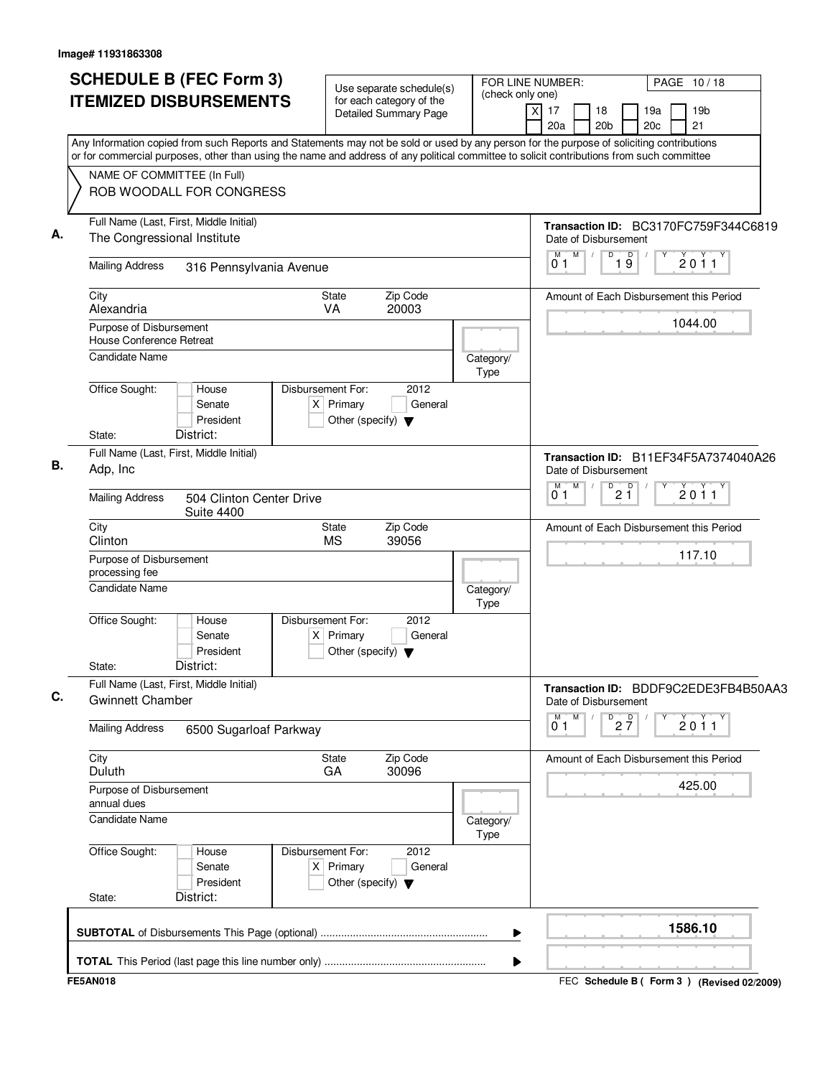| Any Information copied from such Reports and Statements may not be sold or used by any person for the purpose of soliciting contributions<br>or for commercial purposes, other than using the name and address of any political committee to solicit contributions from such committee<br>NAME OF COMMITTEE (In Full)<br>ROB WOODALL FOR CONGRESS<br>Full Name (Last, First, Middle Initial)<br>А.<br>The Congressional Institute<br>Date of Disbursement<br>$\mathsf D$<br>$M$ /<br>19<br>M<br>Υ<br>01<br><b>Mailing Address</b><br>316 Pennsylvania Avenue<br>Zip Code<br>City<br><b>State</b><br>VA<br>20003<br>Alexandria<br>Purpose of Disbursement<br>House Conference Retreat<br><b>Candidate Name</b><br>Category/<br>Type<br>Office Sought:<br>House<br>Disbursement For:<br>2012<br>$X$ Primary<br>General<br>Senate<br>President<br>Other (specify) $\blacktriangledown$<br>District:<br>State:<br>Full Name (Last, First, Middle Initial)<br>В.<br>Adp, Inc<br>Date of Disbursement<br>M<br>$\overline{D}$<br>$\prime$<br>2 <sup>0</sup><br>М<br>Υ<br>01<br><b>Mailing Address</b><br>504 Clinton Center Drive<br><b>Suite 4400</b><br>City<br>Zip Code<br><b>State</b><br><b>MS</b><br>Clinton<br>39056<br>Purpose of Disbursement<br>processing fee<br><b>Candidate Name</b><br>Category/<br>Type<br>Office Sought:<br>Disbursement For:<br>2012<br>House<br>$X$ Primary<br>Senate<br>General<br>President<br>Other (specify) $\blacktriangledown$<br>District:<br>State:<br>Full Name (Last, First, Middle Initial)<br>С.<br><b>Gwinnett Chamber</b><br>Date of Disbursement<br>M<br>M<br>D<br>$2\frac{D}{7}$<br>01<br><b>Mailing Address</b><br>6500 Sugarloaf Parkway<br>Zip Code<br>City<br>State<br>Duluth<br>GA<br>30096<br>Purpose of Disbursement<br>annual dues<br><b>Candidate Name</b><br>Category/<br>Type<br>Office Sought:<br>Disbursement For:<br>2012<br>House<br>$X$ Primary<br>Senate<br>General<br>President<br>Other (specify) $\blacktriangledown$ | <b>SCHEDULE B (FEC Form 3)</b><br>Use separate schedule(s)<br><b>ITEMIZED DISBURSEMENTS</b><br>for each category of the<br><b>Detailed Summary Page</b> | FOR LINE NUMBER:<br>PAGE 10/18<br>(check only one)<br>X<br>17<br>19 <sub>b</sub><br>18<br>19a<br>21<br>20 <sub>b</sub><br>20c<br>20a |
|---------------------------------------------------------------------------------------------------------------------------------------------------------------------------------------------------------------------------------------------------------------------------------------------------------------------------------------------------------------------------------------------------------------------------------------------------------------------------------------------------------------------------------------------------------------------------------------------------------------------------------------------------------------------------------------------------------------------------------------------------------------------------------------------------------------------------------------------------------------------------------------------------------------------------------------------------------------------------------------------------------------------------------------------------------------------------------------------------------------------------------------------------------------------------------------------------------------------------------------------------------------------------------------------------------------------------------------------------------------------------------------------------------------------------------------------------------------------------------------------------------------------------------------------------------------------------------------------------------------------------------------------------------------------------------------------------------------------------------------------------------------------------------------------------------------------------------------------------------------------------------------------------------------------------------------------------------------------------------------|---------------------------------------------------------------------------------------------------------------------------------------------------------|--------------------------------------------------------------------------------------------------------------------------------------|
|                                                                                                                                                                                                                                                                                                                                                                                                                                                                                                                                                                                                                                                                                                                                                                                                                                                                                                                                                                                                                                                                                                                                                                                                                                                                                                                                                                                                                                                                                                                                                                                                                                                                                                                                                                                                                                                                                                                                                                                       |                                                                                                                                                         |                                                                                                                                      |
|                                                                                                                                                                                                                                                                                                                                                                                                                                                                                                                                                                                                                                                                                                                                                                                                                                                                                                                                                                                                                                                                                                                                                                                                                                                                                                                                                                                                                                                                                                                                                                                                                                                                                                                                                                                                                                                                                                                                                                                       |                                                                                                                                                         | Transaction ID: BC3170FC759F344C6819                                                                                                 |
|                                                                                                                                                                                                                                                                                                                                                                                                                                                                                                                                                                                                                                                                                                                                                                                                                                                                                                                                                                                                                                                                                                                                                                                                                                                                                                                                                                                                                                                                                                                                                                                                                                                                                                                                                                                                                                                                                                                                                                                       |                                                                                                                                                         | $\frac{1}{2}$ 0 1 1                                                                                                                  |
|                                                                                                                                                                                                                                                                                                                                                                                                                                                                                                                                                                                                                                                                                                                                                                                                                                                                                                                                                                                                                                                                                                                                                                                                                                                                                                                                                                                                                                                                                                                                                                                                                                                                                                                                                                                                                                                                                                                                                                                       |                                                                                                                                                         | Amount of Each Disbursement this Period                                                                                              |
|                                                                                                                                                                                                                                                                                                                                                                                                                                                                                                                                                                                                                                                                                                                                                                                                                                                                                                                                                                                                                                                                                                                                                                                                                                                                                                                                                                                                                                                                                                                                                                                                                                                                                                                                                                                                                                                                                                                                                                                       |                                                                                                                                                         | 1044.00                                                                                                                              |
|                                                                                                                                                                                                                                                                                                                                                                                                                                                                                                                                                                                                                                                                                                                                                                                                                                                                                                                                                                                                                                                                                                                                                                                                                                                                                                                                                                                                                                                                                                                                                                                                                                                                                                                                                                                                                                                                                                                                                                                       |                                                                                                                                                         |                                                                                                                                      |
|                                                                                                                                                                                                                                                                                                                                                                                                                                                                                                                                                                                                                                                                                                                                                                                                                                                                                                                                                                                                                                                                                                                                                                                                                                                                                                                                                                                                                                                                                                                                                                                                                                                                                                                                                                                                                                                                                                                                                                                       |                                                                                                                                                         | Transaction ID: B11EF34F5A7374040A26                                                                                                 |
|                                                                                                                                                                                                                                                                                                                                                                                                                                                                                                                                                                                                                                                                                                                                                                                                                                                                                                                                                                                                                                                                                                                                                                                                                                                                                                                                                                                                                                                                                                                                                                                                                                                                                                                                                                                                                                                                                                                                                                                       |                                                                                                                                                         | 2011                                                                                                                                 |
|                                                                                                                                                                                                                                                                                                                                                                                                                                                                                                                                                                                                                                                                                                                                                                                                                                                                                                                                                                                                                                                                                                                                                                                                                                                                                                                                                                                                                                                                                                                                                                                                                                                                                                                                                                                                                                                                                                                                                                                       |                                                                                                                                                         | Amount of Each Disbursement this Period                                                                                              |
|                                                                                                                                                                                                                                                                                                                                                                                                                                                                                                                                                                                                                                                                                                                                                                                                                                                                                                                                                                                                                                                                                                                                                                                                                                                                                                                                                                                                                                                                                                                                                                                                                                                                                                                                                                                                                                                                                                                                                                                       |                                                                                                                                                         | 117.10                                                                                                                               |
|                                                                                                                                                                                                                                                                                                                                                                                                                                                                                                                                                                                                                                                                                                                                                                                                                                                                                                                                                                                                                                                                                                                                                                                                                                                                                                                                                                                                                                                                                                                                                                                                                                                                                                                                                                                                                                                                                                                                                                                       |                                                                                                                                                         |                                                                                                                                      |
|                                                                                                                                                                                                                                                                                                                                                                                                                                                                                                                                                                                                                                                                                                                                                                                                                                                                                                                                                                                                                                                                                                                                                                                                                                                                                                                                                                                                                                                                                                                                                                                                                                                                                                                                                                                                                                                                                                                                                                                       |                                                                                                                                                         | Transaction ID: BDDF9C2EDE3FB4B50AA3                                                                                                 |
|                                                                                                                                                                                                                                                                                                                                                                                                                                                                                                                                                                                                                                                                                                                                                                                                                                                                                                                                                                                                                                                                                                                                                                                                                                                                                                                                                                                                                                                                                                                                                                                                                                                                                                                                                                                                                                                                                                                                                                                       |                                                                                                                                                         | 2011                                                                                                                                 |
|                                                                                                                                                                                                                                                                                                                                                                                                                                                                                                                                                                                                                                                                                                                                                                                                                                                                                                                                                                                                                                                                                                                                                                                                                                                                                                                                                                                                                                                                                                                                                                                                                                                                                                                                                                                                                                                                                                                                                                                       |                                                                                                                                                         | Amount of Each Disbursement this Period<br>425.00                                                                                    |
|                                                                                                                                                                                                                                                                                                                                                                                                                                                                                                                                                                                                                                                                                                                                                                                                                                                                                                                                                                                                                                                                                                                                                                                                                                                                                                                                                                                                                                                                                                                                                                                                                                                                                                                                                                                                                                                                                                                                                                                       |                                                                                                                                                         |                                                                                                                                      |
| State:                                                                                                                                                                                                                                                                                                                                                                                                                                                                                                                                                                                                                                                                                                                                                                                                                                                                                                                                                                                                                                                                                                                                                                                                                                                                                                                                                                                                                                                                                                                                                                                                                                                                                                                                                                                                                                                                                                                                                                                | District:                                                                                                                                               |                                                                                                                                      |
| ▶                                                                                                                                                                                                                                                                                                                                                                                                                                                                                                                                                                                                                                                                                                                                                                                                                                                                                                                                                                                                                                                                                                                                                                                                                                                                                                                                                                                                                                                                                                                                                                                                                                                                                                                                                                                                                                                                                                                                                                                     |                                                                                                                                                         | 1586.10                                                                                                                              |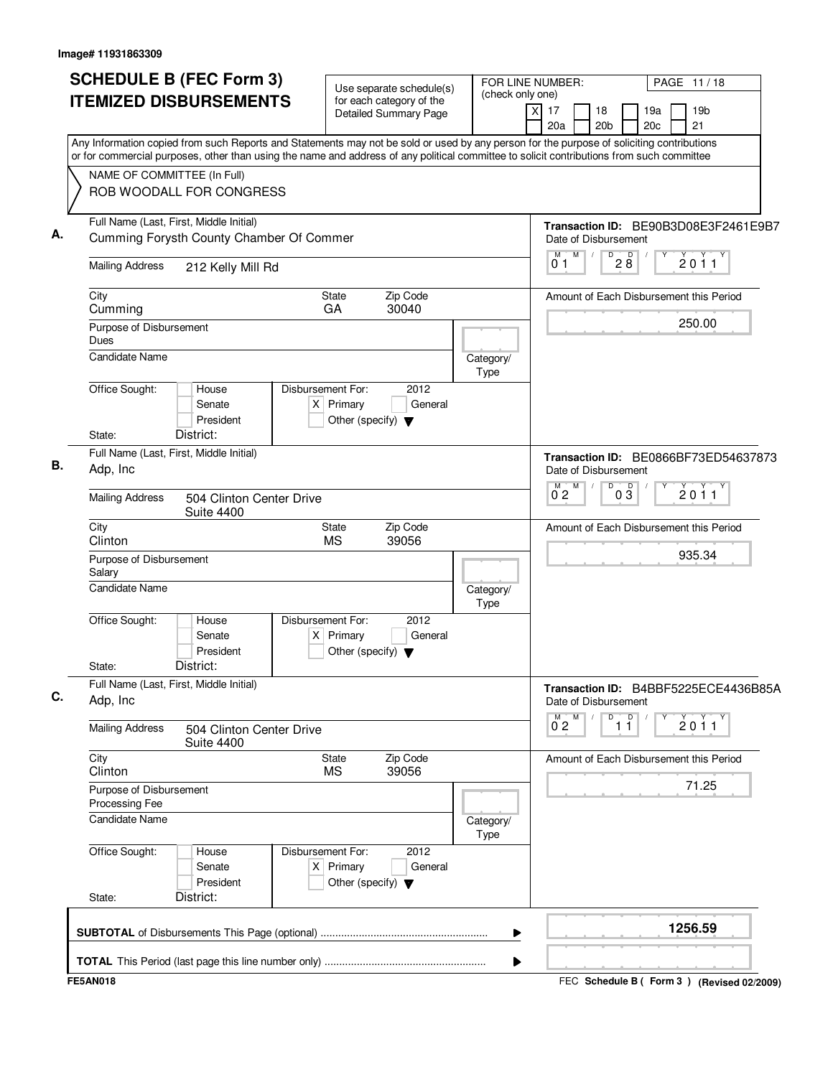| <b>SCHEDULE B (FEC Form 3)</b><br><b>ITEMIZED DISBURSEMENTS</b>                     |                          |                                                                          | Use separate schedule(s)<br>for each category of the<br><b>Detailed Summary Page</b> | (check only one)  | FOR LINE NUMBER:<br>PAGE 11/18<br>X<br>17<br>19 <sub>b</sub><br>18<br>19a<br>20a<br>20 <sub>b</sub><br>20 <sub>c</sub><br>21                                                                                                                                                           |
|-------------------------------------------------------------------------------------|--------------------------|--------------------------------------------------------------------------|--------------------------------------------------------------------------------------|-------------------|----------------------------------------------------------------------------------------------------------------------------------------------------------------------------------------------------------------------------------------------------------------------------------------|
| NAME OF COMMITTEE (In Full)                                                         |                          |                                                                          |                                                                                      |                   | Any Information copied from such Reports and Statements may not be sold or used by any person for the purpose of soliciting contributions<br>or for commercial purposes, other than using the name and address of any political committee to solicit contributions from such committee |
| ROB WOODALL FOR CONGRESS                                                            |                          |                                                                          |                                                                                      |                   |                                                                                                                                                                                                                                                                                        |
| Full Name (Last, First, Middle Initial)<br>Cumming Forysth County Chamber Of Commer |                          |                                                                          |                                                                                      |                   | Transaction ID: BE90B3D08E3F2461E9B7<br>Date of Disbursement<br>M<br>M<br>$\overline{P}$ 2 8<br>2011                                                                                                                                                                                   |
| <b>Mailing Address</b><br>212 Kelly Mill Rd                                         |                          |                                                                          |                                                                                      |                   | 01                                                                                                                                                                                                                                                                                     |
| City<br>Cumming                                                                     |                          | <b>State</b><br>GA                                                       | Zip Code<br>30040                                                                    |                   | Amount of Each Disbursement this Period                                                                                                                                                                                                                                                |
| Purpose of Disbursement<br>Dues                                                     |                          |                                                                          |                                                                                      |                   | 250.00                                                                                                                                                                                                                                                                                 |
| <b>Candidate Name</b>                                                               |                          |                                                                          |                                                                                      | Category/<br>Type |                                                                                                                                                                                                                                                                                        |
| Office Sought:<br>House<br>Senate<br>President                                      |                          | Disbursement For:<br>$X$ Primary<br>Other (specify) $\blacktriangledown$ | 2012<br>General                                                                      |                   |                                                                                                                                                                                                                                                                                        |
| District:<br>State:<br>Full Name (Last, First, Middle Initial)                      |                          |                                                                          |                                                                                      |                   |                                                                                                                                                                                                                                                                                        |
| Adp, Inc                                                                            |                          |                                                                          |                                                                                      |                   | Transaction ID: BE0866BF73ED54637873<br>Date of Disbursement                                                                                                                                                                                                                           |
| <b>Mailing Address</b><br><b>Suite 4400</b>                                         | 504 Clinton Center Drive |                                                                          |                                                                                      |                   | $0\overline{3}$<br>M<br>D<br>$0^{M}$ <sub>2</sub><br>2011                                                                                                                                                                                                                              |
| City<br>Clinton                                                                     |                          | <b>State</b><br><b>MS</b>                                                | Zip Code<br>39056                                                                    |                   | Amount of Each Disbursement this Period                                                                                                                                                                                                                                                |
| Purpose of Disbursement<br>Salary                                                   |                          |                                                                          |                                                                                      |                   | 935.34                                                                                                                                                                                                                                                                                 |
| <b>Candidate Name</b>                                                               |                          |                                                                          |                                                                                      | Category/<br>Type |                                                                                                                                                                                                                                                                                        |
| Office Sought:<br>House<br>Senate<br>President<br>District:<br>State:               |                          | Disbursement For:<br>$X$ Primary<br>Other (specify) $\blacktriangledown$ | 2012<br>General                                                                      |                   |                                                                                                                                                                                                                                                                                        |
| Full Name (Last, First, Middle Initial)                                             |                          |                                                                          |                                                                                      |                   | Transaction ID: B4BBF5225ECE4436B85A                                                                                                                                                                                                                                                   |
| Adp, Inc                                                                            |                          |                                                                          |                                                                                      |                   | Date of Disbursement<br>M<br>M<br>D<br>D                                                                                                                                                                                                                                               |
| <b>Mailing Address</b><br><b>Suite 4400</b>                                         | 504 Clinton Center Drive |                                                                          |                                                                                      |                   | 2011<br>02<br>11                                                                                                                                                                                                                                                                       |
| City<br>Clinton                                                                     |                          | State<br><b>MS</b>                                                       | Zip Code<br>39056                                                                    |                   | Amount of Each Disbursement this Period                                                                                                                                                                                                                                                |
| Purpose of Disbursement<br>Processing Fee                                           |                          |                                                                          |                                                                                      |                   | 71.25                                                                                                                                                                                                                                                                                  |
| Candidate Name                                                                      |                          |                                                                          |                                                                                      | Category/<br>Type |                                                                                                                                                                                                                                                                                        |
| Office Sought:<br>House<br>Senate<br>President                                      |                          | Disbursement For:<br>$X$ Primary<br>Other (specify) $\blacktriangledown$ | 2012<br>General                                                                      |                   |                                                                                                                                                                                                                                                                                        |
| District:<br>State:                                                                 |                          |                                                                          |                                                                                      |                   |                                                                                                                                                                                                                                                                                        |
|                                                                                     |                          |                                                                          |                                                                                      | ▶                 | 1256.59                                                                                                                                                                                                                                                                                |
|                                                                                     |                          |                                                                          |                                                                                      | ▶                 |                                                                                                                                                                                                                                                                                        |

FEC **Schedule B ( ) Form 3 FE5AN018 (Revised 02/2009)**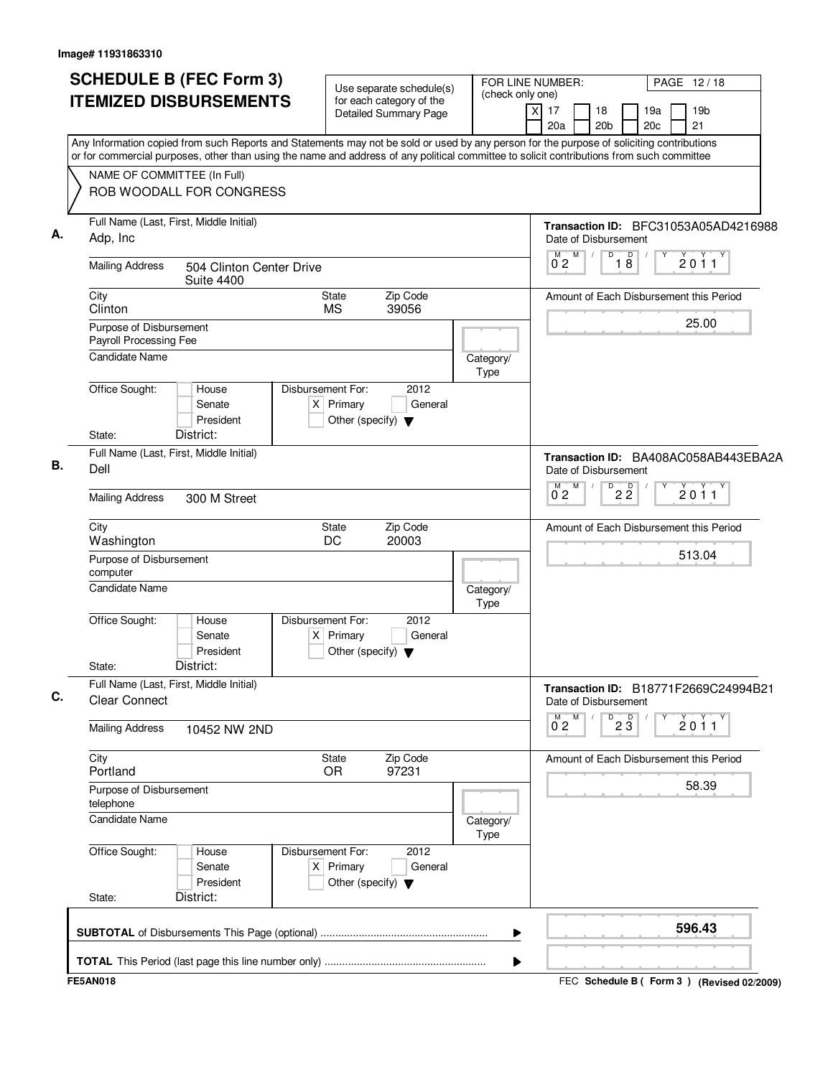| <b>SCHEDULE B (FEC Form 3)</b>                                                                                                                                                                                                                                                         | Use separate schedule(s)                                                                    | FOR LINE NUMBER:<br>(check only one) |                                                        | PAGE 12/18                                |
|----------------------------------------------------------------------------------------------------------------------------------------------------------------------------------------------------------------------------------------------------------------------------------------|---------------------------------------------------------------------------------------------|--------------------------------------|--------------------------------------------------------|-------------------------------------------|
| <b>ITEMIZED DISBURSEMENTS</b>                                                                                                                                                                                                                                                          | for each category of the<br><b>Detailed Summary Page</b>                                    |                                      | X<br>17<br>18<br>20a<br>20 <sub>b</sub>                | 19 <sub>b</sub><br>19a<br>21<br>20c       |
| Any Information copied from such Reports and Statements may not be sold or used by any person for the purpose of soliciting contributions<br>or for commercial purposes, other than using the name and address of any political committee to solicit contributions from such committee |                                                                                             |                                      |                                                        |                                           |
| NAME OF COMMITTEE (In Full)<br>ROB WOODALL FOR CONGRESS                                                                                                                                                                                                                                |                                                                                             |                                      |                                                        |                                           |
| Full Name (Last, First, Middle Initial)<br>Adp, Inc                                                                                                                                                                                                                                    |                                                                                             |                                      | Date of Disbursement                                   | Transaction ID: BFC31053A05AD4216988      |
| <b>Mailing Address</b><br>504 Clinton Center Drive<br><b>Suite 4400</b>                                                                                                                                                                                                                |                                                                                             |                                      | $\overline{D}$<br>M<br>М<br>$\prime$<br>0 <sub>2</sub> | 18<br>2011                                |
| City<br>Clinton                                                                                                                                                                                                                                                                        | Zip Code<br>State<br><b>MS</b><br>39056                                                     |                                      |                                                        | Amount of Each Disbursement this Period   |
| Purpose of Disbursement<br>Payroll Processing Fee<br><b>Candidate Name</b>                                                                                                                                                                                                             |                                                                                             | Category/                            |                                                        | 25.00                                     |
| Office Sought:<br>House<br>Senate<br>President<br>District:<br>State:                                                                                                                                                                                                                  | Disbursement For:<br>2012<br>$X$ Primary<br>General<br>Other (specify) $\blacktriangledown$ | Type                                 |                                                        |                                           |
| Full Name (Last, First, Middle Initial)<br>Dell                                                                                                                                                                                                                                        |                                                                                             |                                      | Date of Disbursement                                   | Transaction ID: BA408AC058AB443EBA2A      |
| <b>Mailing Address</b><br>300 M Street                                                                                                                                                                                                                                                 |                                                                                             |                                      | M<br>D<br>$\overline{0}^M$ 2                           | $2\overline{2}$<br>2011                   |
| City<br>Washington                                                                                                                                                                                                                                                                     | Zip Code<br>State<br>DC<br>20003                                                            |                                      |                                                        | Amount of Each Disbursement this Period   |
| Purpose of Disbursement<br>computer<br>Candidate Name                                                                                                                                                                                                                                  |                                                                                             | Category/                            |                                                        | 513.04                                    |
| Office Sought:<br>House<br>Senate<br>President<br>District:<br>State:                                                                                                                                                                                                                  | Disbursement For:<br>2012<br>$X$ Primary<br>General<br>Other (specify) $\blacktriangledown$ | Type                                 |                                                        |                                           |
| Full Name (Last, First, Middle Initial)<br><b>Clear Connect</b>                                                                                                                                                                                                                        |                                                                                             |                                      | Date of Disbursement                                   | Transaction ID: B18771F2669C24994B21      |
| <b>Mailing Address</b><br>10452 NW 2ND                                                                                                                                                                                                                                                 |                                                                                             |                                      | M<br>D<br>0°2                                          | $2\overline{3}$<br>2011                   |
| City<br>Portland                                                                                                                                                                                                                                                                       | Zip Code<br>State<br>97231<br>0R                                                            |                                      |                                                        | Amount of Each Disbursement this Period   |
| Purpose of Disbursement<br>telephone<br>Candidate Name                                                                                                                                                                                                                                 |                                                                                             |                                      |                                                        | 58.39                                     |
| Office Sought:<br>House<br>Senate                                                                                                                                                                                                                                                      | Disbursement For:<br>2012<br>$X$ Primary<br>General                                         | Category/<br>Type                    |                                                        |                                           |
| President<br>District:<br>State:                                                                                                                                                                                                                                                       | Other (specify) $\blacktriangledown$                                                        |                                      |                                                        |                                           |
|                                                                                                                                                                                                                                                                                        |                                                                                             | ▶                                    |                                                        | 596.43                                    |
| <b>FE5AN018</b>                                                                                                                                                                                                                                                                        |                                                                                             | ▶                                    |                                                        | FEC Schedule B (Form 3) (Revised 02/2009) |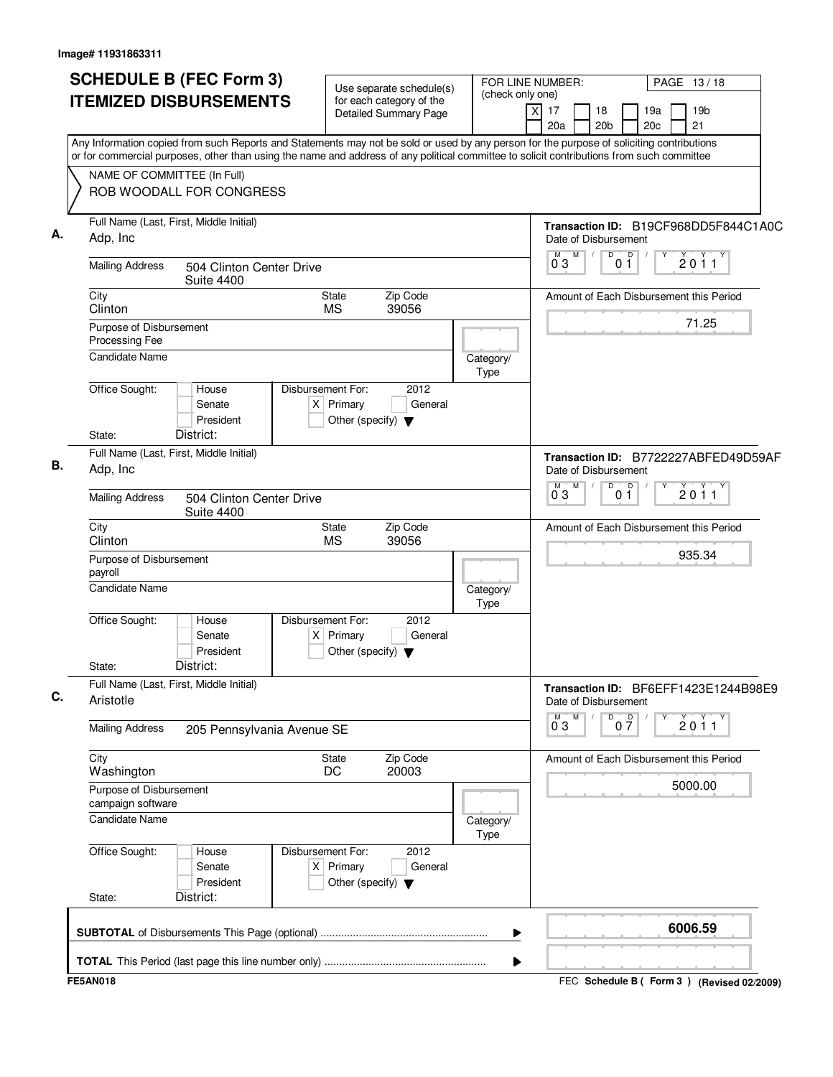| <b>SCHEDULE B (FEC Form 3)</b>                                                                                                                                                                                                                                                         |                                                      |                  | FOR LINE NUMBER:          |                                         |                 |
|----------------------------------------------------------------------------------------------------------------------------------------------------------------------------------------------------------------------------------------------------------------------------------------|------------------------------------------------------|------------------|---------------------------|-----------------------------------------|-----------------|
| <b>ITEMIZED DISBURSEMENTS</b>                                                                                                                                                                                                                                                          | Use separate schedule(s)<br>for each category of the | (check only one) |                           | PAGE 13/18                              |                 |
|                                                                                                                                                                                                                                                                                        | <b>Detailed Summary Page</b>                         |                  | X<br>17<br>18             | 19a                                     | 19 <sub>b</sub> |
|                                                                                                                                                                                                                                                                                        |                                                      |                  | 20a                       | 20 <sub>c</sub><br>20 <sub>b</sub>      | 21              |
| Any Information copied from such Reports and Statements may not be sold or used by any person for the purpose of soliciting contributions<br>or for commercial purposes, other than using the name and address of any political committee to solicit contributions from such committee |                                                      |                  |                           |                                         |                 |
| NAME OF COMMITTEE (In Full)                                                                                                                                                                                                                                                            |                                                      |                  |                           |                                         |                 |
| ROB WOODALL FOR CONGRESS                                                                                                                                                                                                                                                               |                                                      |                  |                           |                                         |                 |
|                                                                                                                                                                                                                                                                                        |                                                      |                  |                           |                                         |                 |
| Full Name (Last, First, Middle Initial)<br>Adp, Inc                                                                                                                                                                                                                                    |                                                      |                  | Date of Disbursement      | Transaction ID: B19CF968DD5F844C1A0C    |                 |
|                                                                                                                                                                                                                                                                                        |                                                      |                  | M<br>M                    | D<br>$\mathsf D$                        | 2011            |
| <b>Mailing Address</b><br>504 Clinton Center Drive<br><b>Suite 4400</b>                                                                                                                                                                                                                |                                                      |                  | 03                        | $0\bar{1}$                              |                 |
| City                                                                                                                                                                                                                                                                                   | Zip Code<br><b>State</b>                             |                  |                           | Amount of Each Disbursement this Period |                 |
| Clinton                                                                                                                                                                                                                                                                                | <b>MS</b><br>39056                                   |                  |                           |                                         | 71.25           |
| Purpose of Disbursement<br>Processing Fee                                                                                                                                                                                                                                              |                                                      |                  |                           |                                         |                 |
| <b>Candidate Name</b>                                                                                                                                                                                                                                                                  |                                                      | Category/        |                           |                                         |                 |
|                                                                                                                                                                                                                                                                                        |                                                      | Type             |                           |                                         |                 |
| Office Sought:<br>House<br>Senate                                                                                                                                                                                                                                                      | Disbursement For:<br>2012<br>$X$ Primary<br>General  |                  |                           |                                         |                 |
| President                                                                                                                                                                                                                                                                              | Other (specify) $\blacktriangledown$                 |                  |                           |                                         |                 |
| District:<br>State:                                                                                                                                                                                                                                                                    |                                                      |                  |                           |                                         |                 |
| Full Name (Last, First, Middle Initial)                                                                                                                                                                                                                                                |                                                      |                  |                           | Transaction ID: B7722227ABFED49D59AF    |                 |
| Adp, Inc                                                                                                                                                                                                                                                                               |                                                      |                  | Date of Disbursement      |                                         |                 |
| <b>Mailing Address</b><br>504 Clinton Center Drive<br><b>Suite 4400</b>                                                                                                                                                                                                                |                                                      |                  | M<br>M<br>0°3             | D<br>0 <sup>0</sup>                     | 2011            |
| City<br>Clinton                                                                                                                                                                                                                                                                        | Zip Code<br><b>State</b><br><b>MS</b><br>39056       |                  |                           | Amount of Each Disbursement this Period |                 |
| Purpose of Disbursement                                                                                                                                                                                                                                                                |                                                      |                  |                           |                                         | 935.34          |
| payroll                                                                                                                                                                                                                                                                                |                                                      |                  |                           |                                         |                 |
| <b>Candidate Name</b>                                                                                                                                                                                                                                                                  |                                                      | Category/        |                           |                                         |                 |
| Office Sought:<br>House                                                                                                                                                                                                                                                                | Disbursement For:<br>2012                            | Type             |                           |                                         |                 |
| Senate                                                                                                                                                                                                                                                                                 | $X$ Primary<br>General                               |                  |                           |                                         |                 |
| President                                                                                                                                                                                                                                                                              | Other (specify) $\blacktriangledown$                 |                  |                           |                                         |                 |
| District:<br>State:                                                                                                                                                                                                                                                                    |                                                      |                  |                           |                                         |                 |
| Full Name (Last, First, Middle Initial)<br>Aristotle                                                                                                                                                                                                                                   |                                                      |                  |                           | Transaction ID: BF6EFF1423E1244B98E9    |                 |
|                                                                                                                                                                                                                                                                                        |                                                      |                  | Date of Disbursement<br>M | D                                       |                 |
| <b>Mailing Address</b><br>205 Pennsylvania Avenue SE                                                                                                                                                                                                                                   |                                                      |                  | $0^{\circ}3$              | 0 <sup>0</sup>                          | 2011            |
| City                                                                                                                                                                                                                                                                                   | Zip Code<br><b>State</b>                             |                  |                           | Amount of Each Disbursement this Period |                 |
| Washington                                                                                                                                                                                                                                                                             | 20003<br>DC                                          |                  |                           |                                         |                 |
| Purpose of Disbursement<br>campaign software                                                                                                                                                                                                                                           |                                                      |                  |                           |                                         | 5000.00         |
| Candidate Name                                                                                                                                                                                                                                                                         |                                                      | Category/        |                           |                                         |                 |
|                                                                                                                                                                                                                                                                                        |                                                      | Type             |                           |                                         |                 |
| Office Sought:<br>House                                                                                                                                                                                                                                                                | 2012<br>Disbursement For:                            |                  |                           |                                         |                 |
| Senate                                                                                                                                                                                                                                                                                 | $X$ Primary<br>General                               |                  |                           |                                         |                 |
| President<br>District:<br>State:                                                                                                                                                                                                                                                       | Other (specify) $\blacktriangledown$                 |                  |                           |                                         |                 |
|                                                                                                                                                                                                                                                                                        |                                                      |                  |                           |                                         |                 |
|                                                                                                                                                                                                                                                                                        |                                                      | ▶                |                           |                                         | 6006.59         |
|                                                                                                                                                                                                                                                                                        |                                                      |                  |                           |                                         |                 |
|                                                                                                                                                                                                                                                                                        |                                                      | ▶                |                           |                                         |                 |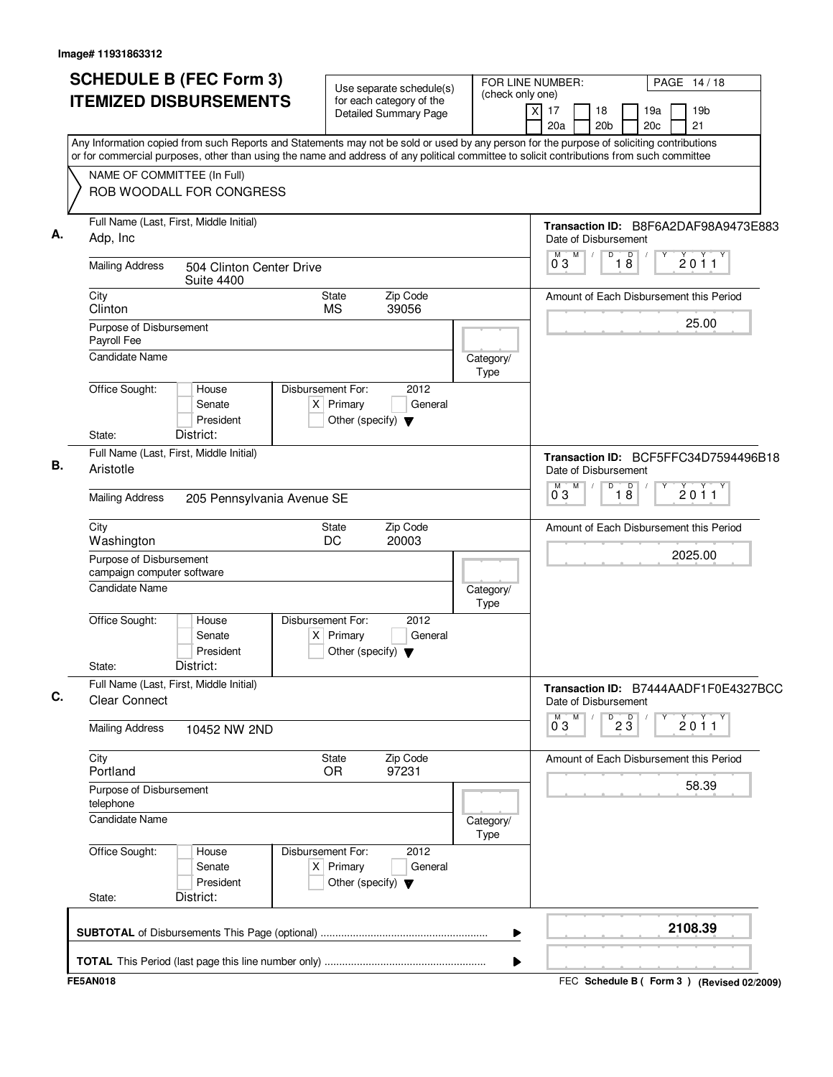| Any Information copied from such Reports and Statements may not be sold or used by any person for the purpose of soliciting contributions<br>or for commercial purposes, other than using the name and address of any political committee to solicit contributions from such committee<br>NAME OF COMMITTEE (In Full)<br>ROB WOODALL FOR CONGRESS<br>Full Name (Last, First, Middle Initial)<br>А.<br>Adp, Inc<br>Date of Disbursement<br>M<br>M<br>D<br>18<br>$\prime$<br>2011<br>03<br><b>Mailing Address</b><br>504 Clinton Center Drive<br><b>Suite 4400</b><br>City<br>Zip Code<br><b>State</b><br>Amount of Each Disbursement this Period<br>Clinton<br><b>MS</b><br>39056<br>25.00<br>Purpose of Disbursement<br>Payroll Fee<br><b>Candidate Name</b><br>Category/<br>Type<br>Office Sought:<br>House<br>Disbursement For:<br>2012<br>Senate<br>$X$ Primary<br>General<br>President<br>Other (specify) $\blacktriangledown$<br>District:<br>State:<br>Full Name (Last, First, Middle Initial)<br>В.<br>Aristotle<br>Date of Disbursement<br>M<br>$\overline{D}$<br>$0^{\overline{0}}3$<br>$\overline{8}$<br>2011<br><b>Mailing Address</b><br>205 Pennsylvania Avenue SE<br>Zip Code<br>City<br>State<br>Amount of Each Disbursement this Period<br>DC<br>Washington<br>20003<br>2025.00<br>Purpose of Disbursement<br>campaign computer software<br><b>Candidate Name</b><br>Category/<br>Type<br>Disbursement For:<br>2012<br>Office Sought:<br>House<br>Senate<br>$X$ Primary<br>General<br>President<br>Other (specify) $\blacktriangledown$<br>District:<br>State:<br>Full Name (Last, First, Middle Initial)<br>С.<br><b>Clear Connect</b><br>Date of Disbursement<br>$0^{M}$ 3<br>M<br>D<br>$2\overline{3}$<br>2011<br><b>Mailing Address</b><br>10452 NW 2ND<br>City<br>State<br>Zip Code<br>Amount of Each Disbursement this Period<br>97231<br>Portland<br><b>OR</b><br>58.39<br>Purpose of Disbursement<br>telephone<br>Candidate Name<br>Category/<br>Type<br>2012<br>Office Sought:<br>Disbursement For:<br>House<br>$X$ Primary<br>Senate<br>General<br>President<br>Other (specify) $\blacktriangledown$<br>District:<br>State:<br>2108.39<br>▶ | <b>SCHEDULE B (FEC Form 3)</b><br><b>ITEMIZED DISBURSEMENTS</b> | Use separate schedule(s)<br>for each category of the<br><b>Detailed Summary Page</b> | FOR LINE NUMBER:<br>(check only one)<br>X | PAGE 14/18<br>17<br>19 <sub>b</sub><br>18<br>19a<br>20a<br>20 <sub>b</sub><br>20c<br>21 |
|-----------------------------------------------------------------------------------------------------------------------------------------------------------------------------------------------------------------------------------------------------------------------------------------------------------------------------------------------------------------------------------------------------------------------------------------------------------------------------------------------------------------------------------------------------------------------------------------------------------------------------------------------------------------------------------------------------------------------------------------------------------------------------------------------------------------------------------------------------------------------------------------------------------------------------------------------------------------------------------------------------------------------------------------------------------------------------------------------------------------------------------------------------------------------------------------------------------------------------------------------------------------------------------------------------------------------------------------------------------------------------------------------------------------------------------------------------------------------------------------------------------------------------------------------------------------------------------------------------------------------------------------------------------------------------------------------------------------------------------------------------------------------------------------------------------------------------------------------------------------------------------------------------------------------------------------------------------------------------------------------------------------------------------------------------------------------------------------------------------------------------------------------------------------------|-----------------------------------------------------------------|--------------------------------------------------------------------------------------|-------------------------------------------|-----------------------------------------------------------------------------------------|
|                                                                                                                                                                                                                                                                                                                                                                                                                                                                                                                                                                                                                                                                                                                                                                                                                                                                                                                                                                                                                                                                                                                                                                                                                                                                                                                                                                                                                                                                                                                                                                                                                                                                                                                                                                                                                                                                                                                                                                                                                                                                                                                                                                       |                                                                 |                                                                                      |                                           |                                                                                         |
|                                                                                                                                                                                                                                                                                                                                                                                                                                                                                                                                                                                                                                                                                                                                                                                                                                                                                                                                                                                                                                                                                                                                                                                                                                                                                                                                                                                                                                                                                                                                                                                                                                                                                                                                                                                                                                                                                                                                                                                                                                                                                                                                                                       |                                                                 |                                                                                      |                                           | Transaction ID: B8F6A2DAF98A9473E883                                                    |
|                                                                                                                                                                                                                                                                                                                                                                                                                                                                                                                                                                                                                                                                                                                                                                                                                                                                                                                                                                                                                                                                                                                                                                                                                                                                                                                                                                                                                                                                                                                                                                                                                                                                                                                                                                                                                                                                                                                                                                                                                                                                                                                                                                       |                                                                 |                                                                                      |                                           |                                                                                         |
|                                                                                                                                                                                                                                                                                                                                                                                                                                                                                                                                                                                                                                                                                                                                                                                                                                                                                                                                                                                                                                                                                                                                                                                                                                                                                                                                                                                                                                                                                                                                                                                                                                                                                                                                                                                                                                                                                                                                                                                                                                                                                                                                                                       |                                                                 |                                                                                      |                                           |                                                                                         |
|                                                                                                                                                                                                                                                                                                                                                                                                                                                                                                                                                                                                                                                                                                                                                                                                                                                                                                                                                                                                                                                                                                                                                                                                                                                                                                                                                                                                                                                                                                                                                                                                                                                                                                                                                                                                                                                                                                                                                                                                                                                                                                                                                                       |                                                                 |                                                                                      |                                           |                                                                                         |
|                                                                                                                                                                                                                                                                                                                                                                                                                                                                                                                                                                                                                                                                                                                                                                                                                                                                                                                                                                                                                                                                                                                                                                                                                                                                                                                                                                                                                                                                                                                                                                                                                                                                                                                                                                                                                                                                                                                                                                                                                                                                                                                                                                       |                                                                 |                                                                                      |                                           |                                                                                         |
|                                                                                                                                                                                                                                                                                                                                                                                                                                                                                                                                                                                                                                                                                                                                                                                                                                                                                                                                                                                                                                                                                                                                                                                                                                                                                                                                                                                                                                                                                                                                                                                                                                                                                                                                                                                                                                                                                                                                                                                                                                                                                                                                                                       |                                                                 |                                                                                      |                                           | Transaction ID: BCF5FFC34D7594496B18                                                    |
|                                                                                                                                                                                                                                                                                                                                                                                                                                                                                                                                                                                                                                                                                                                                                                                                                                                                                                                                                                                                                                                                                                                                                                                                                                                                                                                                                                                                                                                                                                                                                                                                                                                                                                                                                                                                                                                                                                                                                                                                                                                                                                                                                                       |                                                                 |                                                                                      |                                           |                                                                                         |
|                                                                                                                                                                                                                                                                                                                                                                                                                                                                                                                                                                                                                                                                                                                                                                                                                                                                                                                                                                                                                                                                                                                                                                                                                                                                                                                                                                                                                                                                                                                                                                                                                                                                                                                                                                                                                                                                                                                                                                                                                                                                                                                                                                       |                                                                 |                                                                                      |                                           |                                                                                         |
|                                                                                                                                                                                                                                                                                                                                                                                                                                                                                                                                                                                                                                                                                                                                                                                                                                                                                                                                                                                                                                                                                                                                                                                                                                                                                                                                                                                                                                                                                                                                                                                                                                                                                                                                                                                                                                                                                                                                                                                                                                                                                                                                                                       |                                                                 |                                                                                      |                                           |                                                                                         |
|                                                                                                                                                                                                                                                                                                                                                                                                                                                                                                                                                                                                                                                                                                                                                                                                                                                                                                                                                                                                                                                                                                                                                                                                                                                                                                                                                                                                                                                                                                                                                                                                                                                                                                                                                                                                                                                                                                                                                                                                                                                                                                                                                                       |                                                                 |                                                                                      |                                           |                                                                                         |
|                                                                                                                                                                                                                                                                                                                                                                                                                                                                                                                                                                                                                                                                                                                                                                                                                                                                                                                                                                                                                                                                                                                                                                                                                                                                                                                                                                                                                                                                                                                                                                                                                                                                                                                                                                                                                                                                                                                                                                                                                                                                                                                                                                       |                                                                 |                                                                                      |                                           | Transaction ID: B7444AADF1F0E4327BCC                                                    |
|                                                                                                                                                                                                                                                                                                                                                                                                                                                                                                                                                                                                                                                                                                                                                                                                                                                                                                                                                                                                                                                                                                                                                                                                                                                                                                                                                                                                                                                                                                                                                                                                                                                                                                                                                                                                                                                                                                                                                                                                                                                                                                                                                                       |                                                                 |                                                                                      |                                           |                                                                                         |
|                                                                                                                                                                                                                                                                                                                                                                                                                                                                                                                                                                                                                                                                                                                                                                                                                                                                                                                                                                                                                                                                                                                                                                                                                                                                                                                                                                                                                                                                                                                                                                                                                                                                                                                                                                                                                                                                                                                                                                                                                                                                                                                                                                       |                                                                 |                                                                                      |                                           |                                                                                         |
|                                                                                                                                                                                                                                                                                                                                                                                                                                                                                                                                                                                                                                                                                                                                                                                                                                                                                                                                                                                                                                                                                                                                                                                                                                                                                                                                                                                                                                                                                                                                                                                                                                                                                                                                                                                                                                                                                                                                                                                                                                                                                                                                                                       |                                                                 |                                                                                      |                                           |                                                                                         |
|                                                                                                                                                                                                                                                                                                                                                                                                                                                                                                                                                                                                                                                                                                                                                                                                                                                                                                                                                                                                                                                                                                                                                                                                                                                                                                                                                                                                                                                                                                                                                                                                                                                                                                                                                                                                                                                                                                                                                                                                                                                                                                                                                                       |                                                                 |                                                                                      |                                           |                                                                                         |
|                                                                                                                                                                                                                                                                                                                                                                                                                                                                                                                                                                                                                                                                                                                                                                                                                                                                                                                                                                                                                                                                                                                                                                                                                                                                                                                                                                                                                                                                                                                                                                                                                                                                                                                                                                                                                                                                                                                                                                                                                                                                                                                                                                       |                                                                 |                                                                                      |                                           |                                                                                         |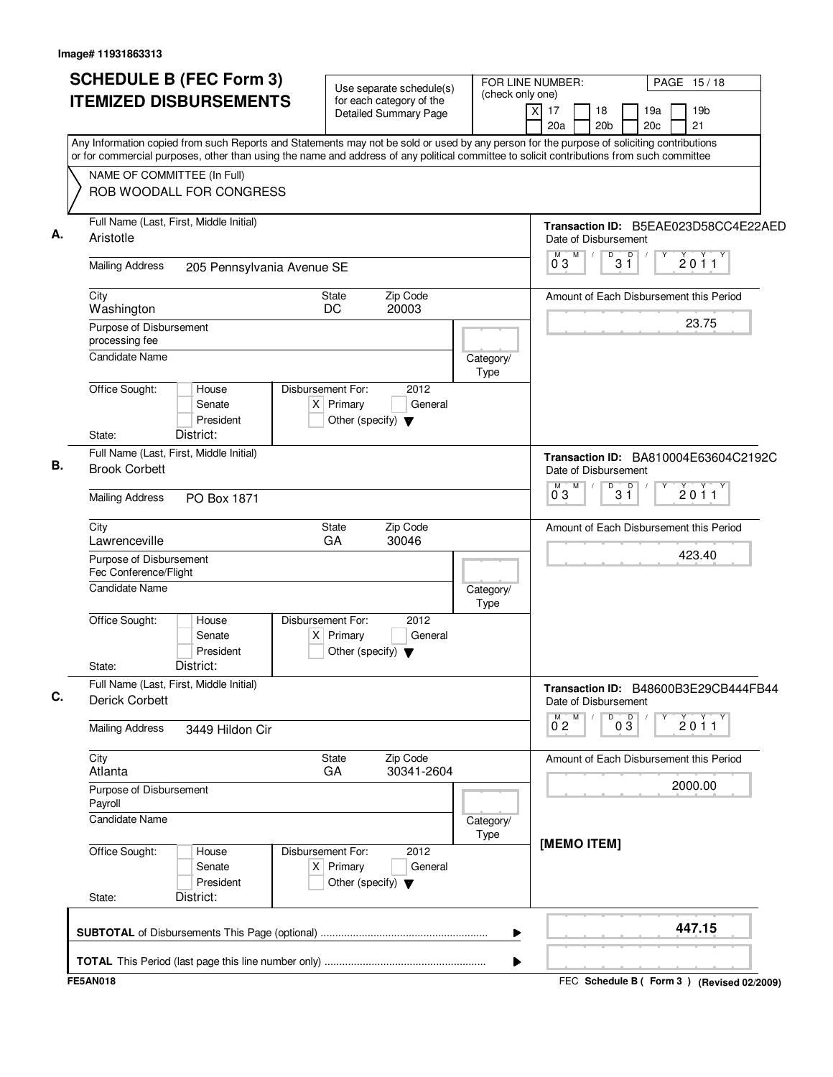| <b>SCHEDULE B (FEC Form 3)</b>                                                                                                                                                                                                                                                         | Use separate schedule(s)                                                                    | FOR LINE NUMBER:<br>(check only one) |                                                   | PAGE 15/18                                |
|----------------------------------------------------------------------------------------------------------------------------------------------------------------------------------------------------------------------------------------------------------------------------------------|---------------------------------------------------------------------------------------------|--------------------------------------|---------------------------------------------------|-------------------------------------------|
| <b>ITEMIZED DISBURSEMENTS</b>                                                                                                                                                                                                                                                          | for each category of the<br>Detailed Summary Page                                           | x                                    | 17<br>18<br>20a<br>20 <sub>b</sub>                | 19 <sub>b</sub><br>19a<br>20c<br>21       |
| Any Information copied from such Reports and Statements may not be sold or used by any person for the purpose of soliciting contributions<br>or for commercial purposes, other than using the name and address of any political committee to solicit contributions from such committee |                                                                                             |                                      |                                                   |                                           |
| NAME OF COMMITTEE (In Full)                                                                                                                                                                                                                                                            |                                                                                             |                                      |                                                   |                                           |
| ROB WOODALL FOR CONGRESS                                                                                                                                                                                                                                                               |                                                                                             |                                      |                                                   |                                           |
| Full Name (Last, First, Middle Initial)<br>Aristotle                                                                                                                                                                                                                                   |                                                                                             |                                      | Date of Disbursement                              | Transaction ID: B5EAE023D58CC4E22AED      |
| <b>Mailing Address</b><br>205 Pennsylvania Avenue SE                                                                                                                                                                                                                                   |                                                                                             |                                      | M<br>D<br>D<br>M<br>3 Ĭ<br>$0^{\degree}3$         | 2011                                      |
| City<br>Washington                                                                                                                                                                                                                                                                     | Zip Code<br>State<br>DC<br>20003                                                            |                                      |                                                   | Amount of Each Disbursement this Period   |
| Purpose of Disbursement<br>processing fee                                                                                                                                                                                                                                              |                                                                                             |                                      |                                                   | 23.75                                     |
| <b>Candidate Name</b>                                                                                                                                                                                                                                                                  |                                                                                             | Category/<br><b>Type</b>             |                                                   |                                           |
| Office Sought:<br>House<br>Senate<br>President<br>District:<br>State:                                                                                                                                                                                                                  | Disbursement For:<br>2012<br>$X$ Primary<br>General<br>Other (specify) $\blacktriangledown$ |                                      |                                                   |                                           |
| Full Name (Last, First, Middle Initial)<br><b>Brook Corbett</b>                                                                                                                                                                                                                        |                                                                                             |                                      | Date of Disbursement                              | Transaction ID: BA810004E63604C2192C      |
| <b>Mailing Address</b><br>PO Box 1871                                                                                                                                                                                                                                                  |                                                                                             |                                      | M<br>D<br>M T<br>$3^{\circ}$<br>$0^{\degree}3$    | 2011                                      |
| City<br>Lawrenceville                                                                                                                                                                                                                                                                  | Zip Code<br>State<br>GA<br>30046                                                            |                                      |                                                   | Amount of Each Disbursement this Period   |
| Purpose of Disbursement<br>Fec Conference/Flight                                                                                                                                                                                                                                       |                                                                                             |                                      |                                                   | 423.40                                    |
| Candidate Name                                                                                                                                                                                                                                                                         |                                                                                             | Category/<br>Type                    |                                                   |                                           |
| Office Sought:<br>House<br>Senate<br>President<br>District:<br>State:                                                                                                                                                                                                                  | 2012<br>Disbursement For:<br>$X$ Primary<br>General<br>Other (specify) $\blacktriangledown$ |                                      |                                                   |                                           |
| Full Name (Last, First, Middle Initial)<br><b>Derick Corbett</b>                                                                                                                                                                                                                       |                                                                                             |                                      | Date of Disbursement                              | Transaction ID: B48600B3E29CB444FB44      |
| <b>Mailing Address</b><br>3449 Hildon Cir                                                                                                                                                                                                                                              |                                                                                             |                                      | D<br>M<br>$0\overline{3}$<br>$0^{M}$ <sub>2</sub> | Υ<br>2011                                 |
| City<br>Atlanta                                                                                                                                                                                                                                                                        | State<br>Zip Code<br>30341-2604<br>GA                                                       |                                      |                                                   | Amount of Each Disbursement this Period   |
| Purpose of Disbursement<br>Payroll                                                                                                                                                                                                                                                     |                                                                                             |                                      |                                                   | 2000.00                                   |
| <b>Candidate Name</b>                                                                                                                                                                                                                                                                  |                                                                                             | Category/<br><b>Type</b>             | [MEMO ITEM]                                       |                                           |
| Office Sought:<br>House<br>Senate<br>President<br>District:<br>State:                                                                                                                                                                                                                  | Disbursement For:<br>2012<br>$X$ Primary<br>General<br>Other (specify) $\blacktriangledown$ |                                      |                                                   |                                           |
|                                                                                                                                                                                                                                                                                        |                                                                                             | ▶                                    |                                                   | 447.15                                    |
|                                                                                                                                                                                                                                                                                        |                                                                                             | ▶                                    |                                                   |                                           |
| <b>FE5AN018</b>                                                                                                                                                                                                                                                                        |                                                                                             |                                      |                                                   | FEC Schedule B (Form 3) (Revised 02/2009) |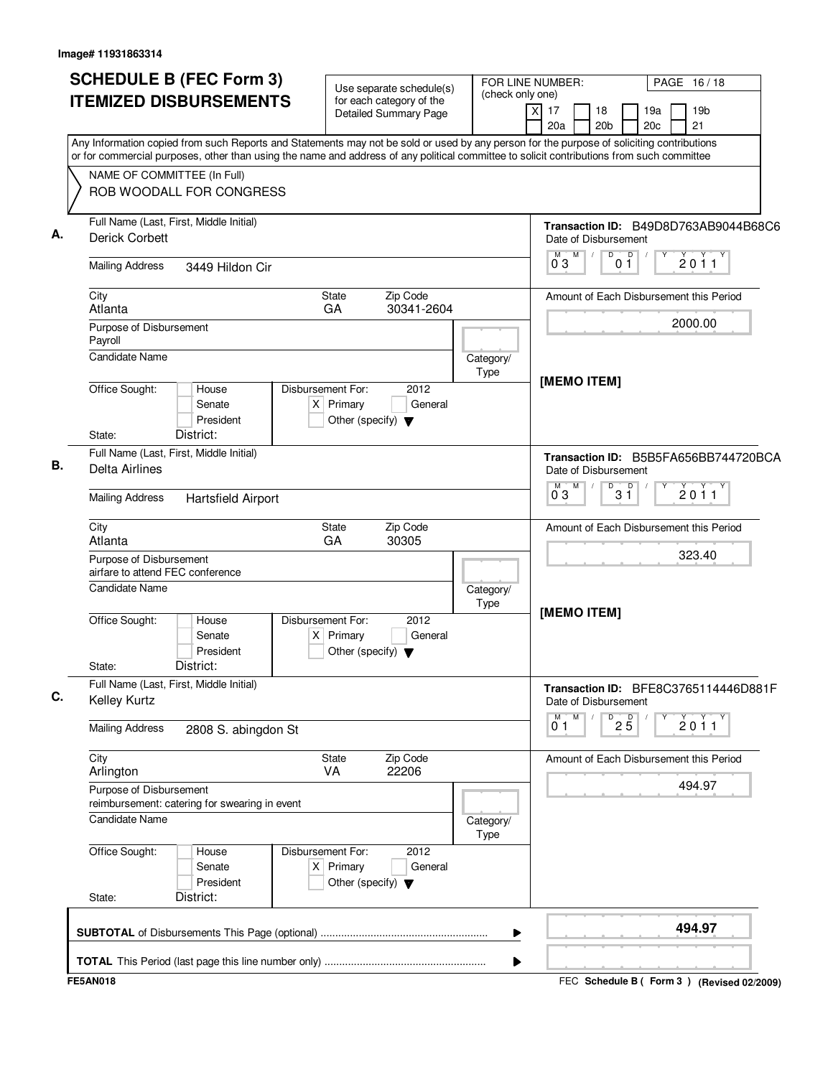| <b>SCHEDULE B (FEC Form 3)</b>                                                                                                                                                                                                                                                                                                                    | Use separate schedule(s)                                                                    | (check only one)  | FOR LINE NUMBER:                                                                           | PAGE 16/18                                   |
|---------------------------------------------------------------------------------------------------------------------------------------------------------------------------------------------------------------------------------------------------------------------------------------------------------------------------------------------------|---------------------------------------------------------------------------------------------|-------------------|--------------------------------------------------------------------------------------------|----------------------------------------------|
| <b>ITEMIZED DISBURSEMENTS</b>                                                                                                                                                                                                                                                                                                                     | for each category of the<br><b>Detailed Summary Page</b>                                    |                   | 17<br>x<br>18<br>20a<br>20 <sub>b</sub>                                                    | 19a<br>19 <sub>b</sub><br>20c<br>21          |
| Any Information copied from such Reports and Statements may not be sold or used by any person for the purpose of soliciting contributions<br>or for commercial purposes, other than using the name and address of any political committee to solicit contributions from such committee<br>NAME OF COMMITTEE (In Full)<br>ROB WOODALL FOR CONGRESS |                                                                                             |                   |                                                                                            |                                              |
| Full Name (Last, First, Middle Initial)<br><b>Derick Corbett</b>                                                                                                                                                                                                                                                                                  |                                                                                             |                   | Date of Disbursement<br>$\mathsf D$<br>M<br>D<br>M<br>03<br>01                             | Transaction ID: B49D8D763AB9044B68C6<br>2011 |
| <b>Mailing Address</b><br>3449 Hildon Cir                                                                                                                                                                                                                                                                                                         |                                                                                             |                   |                                                                                            |                                              |
| City<br>Atlanta                                                                                                                                                                                                                                                                                                                                   | Zip Code<br><b>State</b><br>GA<br>30341-2604                                                |                   |                                                                                            | Amount of Each Disbursement this Period      |
| Purpose of Disbursement<br>Payroll<br>Candidate Name                                                                                                                                                                                                                                                                                              |                                                                                             | Category/         |                                                                                            | 2000.00                                      |
| Office Sought:<br>House<br>Senate<br>President<br>District:<br>State:                                                                                                                                                                                                                                                                             | Disbursement For:<br>2012<br>$X$ Primary<br>General<br>Other (specify) $\blacktriangledown$ | Type              | [MEMO ITEM]                                                                                |                                              |
| Full Name (Last, First, Middle Initial)<br>Delta Airlines                                                                                                                                                                                                                                                                                         |                                                                                             |                   | Transaction ID: B5B5FA656BB744720BCA<br>Date of Disbursement<br>M<br>D<br>М<br>$3^{\circ}$ | 2011                                         |
| <b>Mailing Address</b><br><b>Hartsfield Airport</b>                                                                                                                                                                                                                                                                                               | 03                                                                                          |                   |                                                                                            |                                              |
| City<br>Atlanta                                                                                                                                                                                                                                                                                                                                   | Zip Code<br>State<br>GA<br>30305                                                            |                   |                                                                                            | Amount of Each Disbursement this Period      |
| Purpose of Disbursement<br>airfare to attend FEC conference<br><b>Candidate Name</b><br>Category/<br>Type                                                                                                                                                                                                                                         |                                                                                             |                   |                                                                                            | 323.40                                       |
|                                                                                                                                                                                                                                                                                                                                                   |                                                                                             |                   |                                                                                            |                                              |
| Office Sought:<br>House<br>Senate<br>President<br>District:<br>State:                                                                                                                                                                                                                                                                             | 2012<br>Disbursement For:<br>$X$ Primary<br>General<br>Other (specify) $\blacktriangledown$ |                   | [MEMO ITEM]                                                                                |                                              |
| Full Name (Last, First, Middle Initial)<br><b>Kelley Kurtz</b>                                                                                                                                                                                                                                                                                    |                                                                                             |                   | Date of Disbursement                                                                       | Transaction ID: BFE8C3765114446D881F         |
| <b>Mailing Address</b><br>2808 S. abingdon St                                                                                                                                                                                                                                                                                                     |                                                                                             |                   | M<br>M<br>$\overline{P}$ 2 $\overline{5}$<br>$0^{\circ}1$                                  | Υ<br>2011                                    |
| City<br>Arlington                                                                                                                                                                                                                                                                                                                                 | Zip Code<br><b>State</b><br>22206<br>VA                                                     |                   |                                                                                            | Amount of Each Disbursement this Period      |
| Purpose of Disbursement<br>reimbursement: catering for swearing in event                                                                                                                                                                                                                                                                          |                                                                                             |                   |                                                                                            | 494.97                                       |
| <b>Candidate Name</b>                                                                                                                                                                                                                                                                                                                             |                                                                                             | Category/<br>Type |                                                                                            |                                              |
| Office Sought:<br>House<br>Senate<br>President<br>District:<br>State:                                                                                                                                                                                                                                                                             | 2012<br>Disbursement For:<br>$X$ Primary<br>General<br>Other (specify) $\blacktriangledown$ |                   |                                                                                            |                                              |
|                                                                                                                                                                                                                                                                                                                                                   |                                                                                             | ▶                 |                                                                                            | 494.97                                       |
|                                                                                                                                                                                                                                                                                                                                                   |                                                                                             | ▶                 |                                                                                            |                                              |
| <b>FE5AN018</b>                                                                                                                                                                                                                                                                                                                                   |                                                                                             |                   |                                                                                            | FEC Schedule B (Form 3) (Revised 02/2009)    |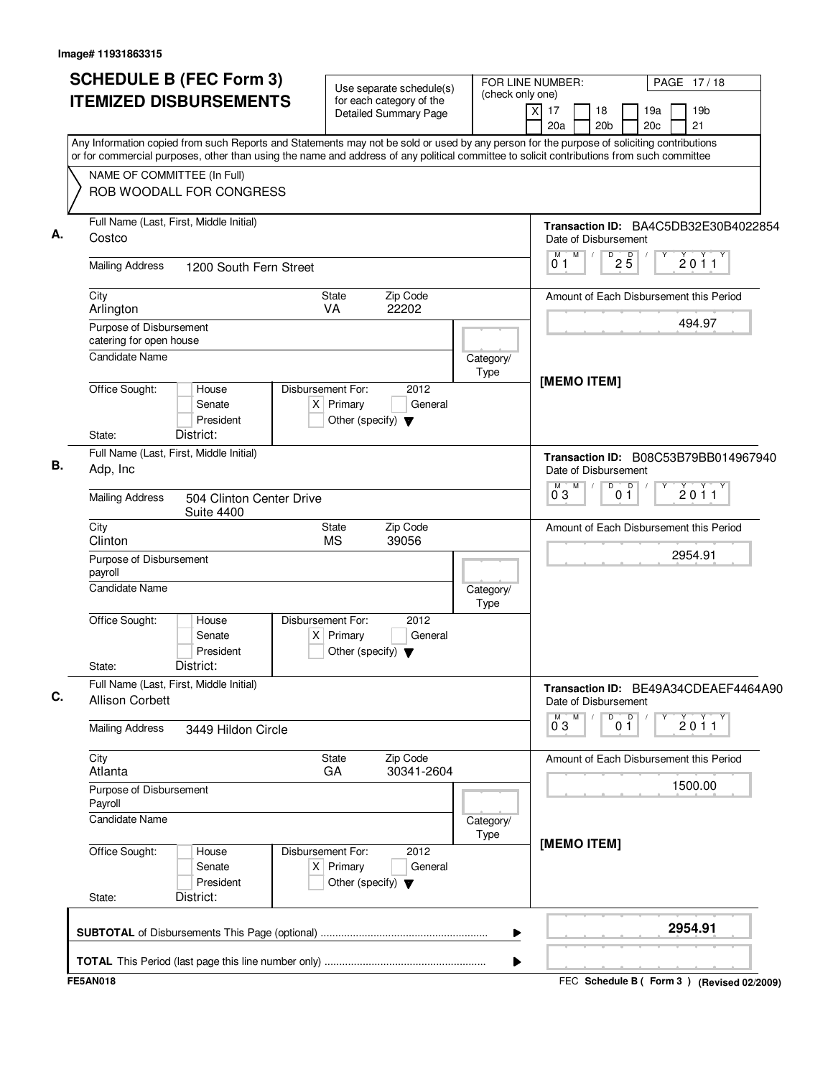| <b>SCHEDULE B (FEC Form 3)</b>                                                                                                                                                                                                                                                         | Use separate schedule(s)                                                                    | FOR LINE NUMBER:         | PAGE 17/18                                                                                  |  |
|----------------------------------------------------------------------------------------------------------------------------------------------------------------------------------------------------------------------------------------------------------------------------------------|---------------------------------------------------------------------------------------------|--------------------------|---------------------------------------------------------------------------------------------|--|
| <b>ITEMIZED DISBURSEMENTS</b>                                                                                                                                                                                                                                                          | for each category of the<br><b>Detailed Summary Page</b>                                    | (check only one)         | $\overline{x}$<br>19 <sub>b</sub><br>17<br>18<br>19a<br>20 <sub>b</sub><br>20c<br>21<br>20a |  |
| Any Information copied from such Reports and Statements may not be sold or used by any person for the purpose of soliciting contributions<br>or for commercial purposes, other than using the name and address of any political committee to solicit contributions from such committee |                                                                                             |                          |                                                                                             |  |
| NAME OF COMMITTEE (In Full)<br>ROB WOODALL FOR CONGRESS                                                                                                                                                                                                                                |                                                                                             |                          |                                                                                             |  |
| Full Name (Last, First, Middle Initial)<br>Costco                                                                                                                                                                                                                                      |                                                                                             |                          | Transaction ID: BA4C5DB32E30B4022854<br>Date of Disbursement                                |  |
| <b>Mailing Address</b><br>1200 South Fern Street                                                                                                                                                                                                                                       |                                                                                             |                          | M<br>D<br>$2\overline{5}$<br>$\sqrt{2}$<br>2011<br>01                                       |  |
| City<br>Arlington                                                                                                                                                                                                                                                                      | Zip Code<br><b>State</b><br>22202<br><b>VA</b>                                              |                          | Amount of Each Disbursement this Period                                                     |  |
| Purpose of Disbursement<br>catering for open house                                                                                                                                                                                                                                     |                                                                                             |                          | 494.97                                                                                      |  |
| <b>Candidate Name</b>                                                                                                                                                                                                                                                                  |                                                                                             | Category/<br><b>Type</b> | [MEMO ITEM]                                                                                 |  |
| Office Sought:<br>House<br>Senate<br>President<br>District:<br>State:                                                                                                                                                                                                                  | Disbursement For:<br>2012<br>$X$ Primary<br>General<br>Other (specify) $\blacktriangledown$ |                          |                                                                                             |  |
| Full Name (Last, First, Middle Initial)<br>Adp, Inc                                                                                                                                                                                                                                    |                                                                                             |                          | Transaction ID: B08C53B79BB014967940<br>Date of Disbursement                                |  |
| <b>Mailing Address</b><br>504 Clinton Center Drive<br><b>Suite 4400</b>                                                                                                                                                                                                                | M<br>$\overline{D}$<br>0 <sup>0</sup><br>м<br>2011<br>$0^{\degree}3$                        |                          |                                                                                             |  |
| City<br>Clinton                                                                                                                                                                                                                                                                        | Zip Code<br>State<br><b>MS</b><br>39056                                                     |                          | Amount of Each Disbursement this Period                                                     |  |
| Purpose of Disbursement<br>payroll                                                                                                                                                                                                                                                     |                                                                                             |                          | 2954.91                                                                                     |  |
| <b>Candidate Name</b>                                                                                                                                                                                                                                                                  |                                                                                             | Category/<br>Type        |                                                                                             |  |
| Office Sought:<br>House<br>Senate<br>President<br>District:<br>State:                                                                                                                                                                                                                  | 2012<br>Disbursement For:<br>$X$ Primary<br>General<br>Other (specify) $\blacktriangledown$ |                          |                                                                                             |  |
| Full Name (Last, First, Middle Initial)<br><b>Allison Corbett</b>                                                                                                                                                                                                                      |                                                                                             |                          | Transaction ID: BE49A34CDEAEF4464A90<br>Date of Disbursement                                |  |
| <b>Mailing Address</b><br>3449 Hildon Circle                                                                                                                                                                                                                                           |                                                                                             |                          | M<br>D<br>0 <sup>0</sup><br>Y<br>$0^{M}$ 3<br>$\sqrt{ }$<br>2011                            |  |
| City<br>Atlanta                                                                                                                                                                                                                                                                        | Zip Code<br>State<br>30341-2604<br>GA                                                       |                          | Amount of Each Disbursement this Period                                                     |  |
| Purpose of Disbursement<br>Payroll                                                                                                                                                                                                                                                     |                                                                                             |                          | 1500.00                                                                                     |  |
| <b>Candidate Name</b>                                                                                                                                                                                                                                                                  |                                                                                             | Category/<br>Type        | [MEMO ITEM]                                                                                 |  |
| Office Sought:<br>House<br>Senate<br>President<br>District:<br>State:                                                                                                                                                                                                                  | 2012<br>Disbursement For:<br>$X$ Primary<br>General<br>Other (specify) $\blacktriangledown$ |                          |                                                                                             |  |
|                                                                                                                                                                                                                                                                                        |                                                                                             |                          | 2954.91                                                                                     |  |
|                                                                                                                                                                                                                                                                                        |                                                                                             | ▶                        |                                                                                             |  |